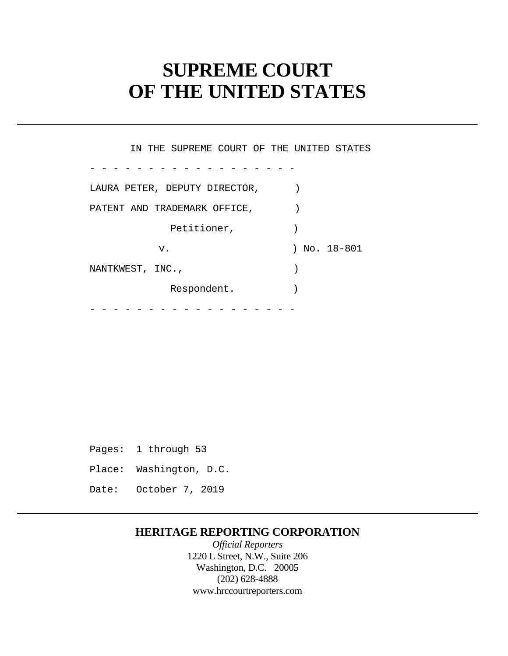# **SUPREME COURT OF THE UNITED STATES**

- - - - - - - - - - - - - - - - - - - - - - - - - - - - - - - - - - - - IN THE SUPREME COURT OF THE UNITED STATES LAURA PETER, DEPUTY DIRECTOR,  $|$ PATENT AND TRADEMARK OFFICE,  $|$ Petitioner,  $)$ v. ) No. 18-801 NANTKWEST, INC., Respondent.

Pages: 1 through 53 Place: Washington, D.C. Date: October 7, 2019

### **HERITAGE REPORTING CORPORATION**

*Official Reporters*  1220 L Street, N.W., Suite 206 Washington, D.C. 20005 (202) 628-4888 <www.hrccourtreporters.com>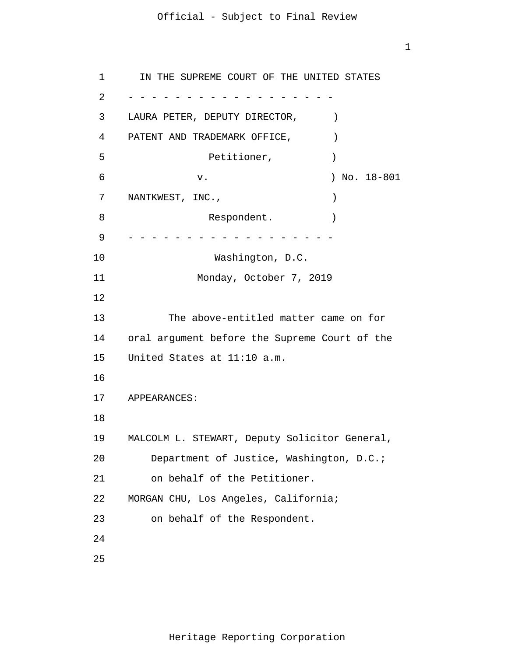1

```
1 
 \overline{2}3 
 4 
 5 
6 
7 
8 
9 
10 
11 
12
13 
14 
15 
16
17 
18
19 
20 
21 
22 
23 
24
25
     - - - - - - - - - - - - - - - - - -
      - - - - - - - - - - - - - - - - - -
       IN THE SUPREME COURT OF THE UNITED STATES 
     LAURA PETER, DEPUTY DIRECTOR, |PATENT AND TRADEMARK OFFICE,
                  Petitioner, )v. ) No. 18-801 
     NANTKWEST, INC.,
                  Respondent.
                   Washington, D.C. 
                Monday, October 7, 2019 
            The above-entitled matter came on for 
     oral argument before the Supreme Court of the 
     United States at 11:10 a.m. 
     APPEARANCES: 
     MALCOLM L. STEWART, Deputy Solicitor General, 
         Department of Justice, Washington, D.C.; 
         on behalf of the Petitioner. 
     MORGAN CHU, Los Angeles, California; 
         on behalf of the Respondent.
```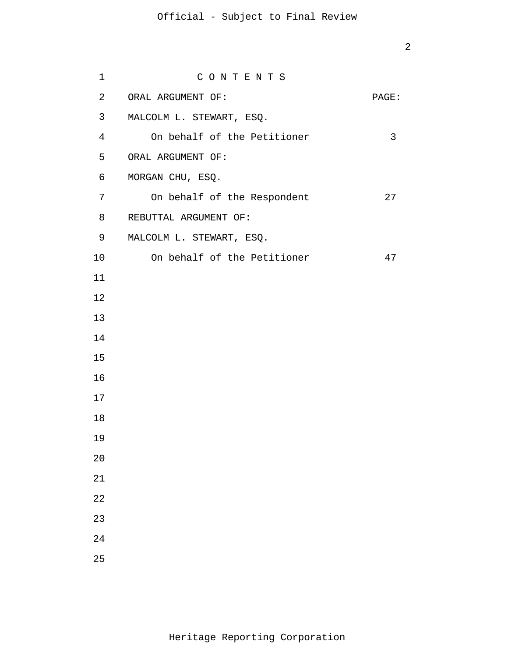| $\mathbf 1$    | CONTENTS                    |       |
|----------------|-----------------------------|-------|
| $\overline{a}$ | ORAL ARGUMENT OF:           | PAGE: |
| 3 <sup>7</sup> | MALCOLM L. STEWART, ESQ.    |       |
| $\overline{4}$ | On behalf of the Petitioner | 3     |
| 5              | ORAL ARGUMENT OF:           |       |
| 6              | MORGAN CHU, ESQ.            |       |
| 7              | On behalf of the Respondent | 27    |
| 8              | REBUTTAL ARGUMENT OF:       |       |
| 9              | MALCOLM L. STEWART, ESQ.    |       |
| 10             | On behalf of the Petitioner | 47    |
| 11             |                             |       |
| 12             |                             |       |
| 13             |                             |       |
| 14             |                             |       |
| 15             |                             |       |
| 16             |                             |       |
| 17             |                             |       |
| 18             |                             |       |
| 19             |                             |       |
| 20             |                             |       |
| 21             |                             |       |
| 22             |                             |       |
| 23             |                             |       |
| 24             |                             |       |
| 25             |                             |       |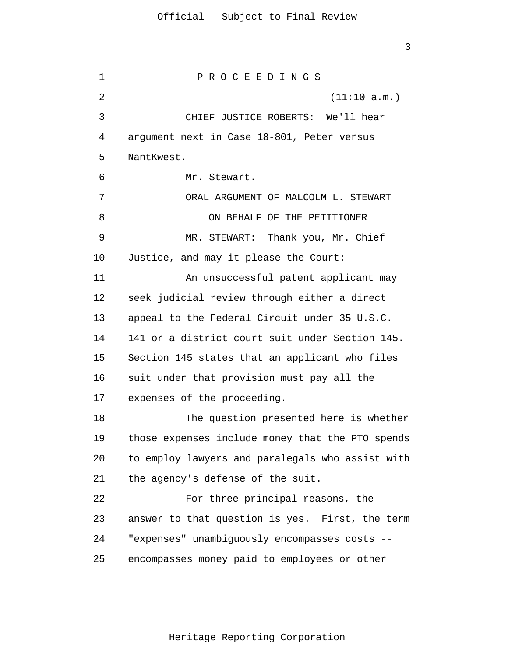1  $\overline{2}$ 3 4 5 6 7 8 9 10 11 12 13 14 15 16 17 18 19 20 21 22 23 24 25 P R O C E E D I N G S (11:10 a.m.) CHIEF JUSTICE ROBERTS: We'll hear argument next in Case 18-801, Peter versus NantKwest. Mr. Stewart. ORAL ARGUMENT OF MALCOLM L. STEWART ON BEHALF OF THE PETITIONER MR. STEWART: Thank you, Mr. Chief Justice, and may it please the Court: An unsuccessful patent applicant may seek judicial review through either a direct appeal to the Federal Circuit under 35 U.S.C. 141 or a district court suit under Section 145. Section 145 states that an applicant who files suit under that provision must pay all the expenses of the proceeding. The question presented here is whether those expenses include money that the PTO spends to employ lawyers and paralegals who assist with the agency's defense of the suit. For three principal reasons, the answer to that question is yes. First, the term "expenses" unambiguously encompasses costs - encompasses money paid to employees or other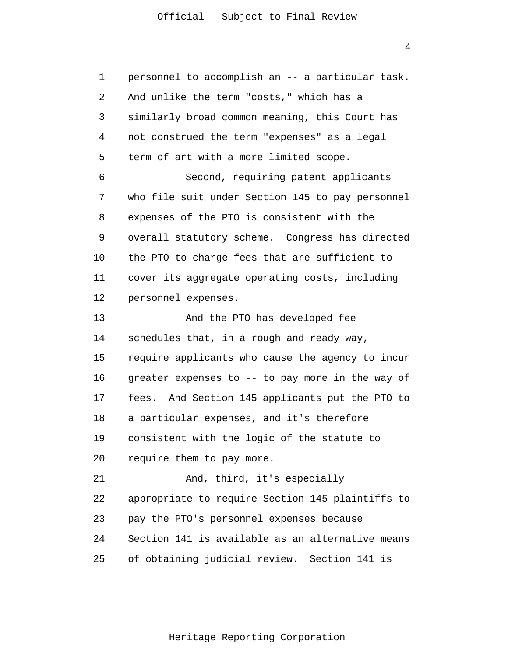4

1 2 3 4 5 6 7 8 9 10 11 12 13 14 15 16 17 18 19 20 21 22 23 24 25 personnel to accomplish an -- a particular task. And unlike the term "costs," which has a similarly broad common meaning, this Court has not construed the term "expenses" as a legal term of art with a more limited scope. Second, requiring patent applicants who file suit under Section 145 to pay personnel expenses of the PTO is consistent with the overall statutory scheme. Congress has directed the PTO to charge fees that are sufficient to cover its aggregate operating costs, including personnel expenses. And the PTO has developed fee schedules that, in a rough and ready way, require applicants who cause the agency to incur greater expenses to -- to pay more in the way of fees. And Section 145 applicants put the PTO to a particular expenses, and it's therefore consistent with the logic of the statute to require them to pay more. And, third, it's especially appropriate to require Section 145 plaintiffs to pay the PTO's personnel expenses because Section 141 is available as an alternative means of obtaining judicial review. Section 141 is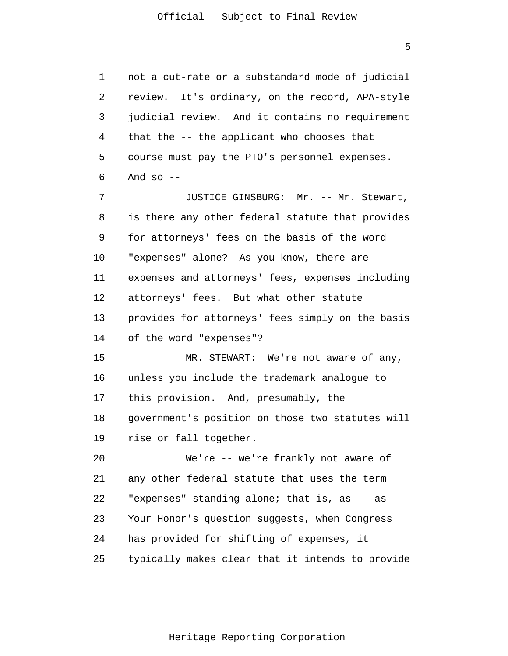1  $\overline{2}$ 3 4 5 6 7 8 9 10 11 12 13 14 15 16 17 18 19 20 21 22 23 24 25 not a cut-rate or a substandard mode of judicial review. It's ordinary, on the record, APA-style judicial review. And it contains no requirement that the -- the applicant who chooses that course must pay the PTO's personnel expenses. And so  $-$ JUSTICE GINSBURG: Mr. -- Mr. Stewart, is there any other federal statute that provides for attorneys' fees on the basis of the word "expenses" alone? As you know, there are expenses and attorneys' fees, expenses including attorneys' fees. But what other statute provides for attorneys' fees simply on the basis of the word "expenses"? MR. STEWART: We're not aware of any, unless you include the trademark analogue to this provision. And, presumably, the government's position on those two statutes will rise or fall together. We're -- we're frankly not aware of any other federal statute that uses the term "expenses" standing alone; that is, as -- as Your Honor's question suggests, when Congress has provided for shifting of expenses, it typically makes clear that it intends to provide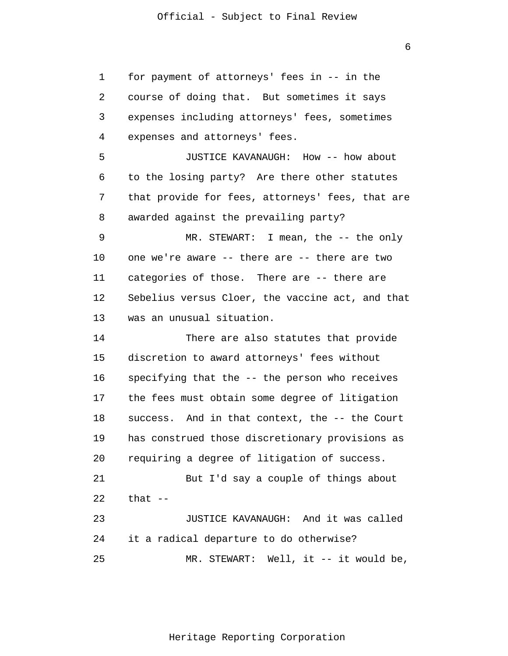1 2 3 4 5 6 7 8 9 10 11 12 13 14 15 16 17 18 19 20 21 22 23 24 25 for payment of attorneys' fees in -- in the course of doing that. But sometimes it says expenses including attorneys' fees, sometimes expenses and attorneys' fees. JUSTICE KAVANAUGH: How -- how about to the losing party? Are there other statutes that provide for fees, attorneys' fees, that are awarded against the prevailing party? MR. STEWART: I mean, the -- the only one we're aware -- there are -- there are two categories of those. There are -- there are Sebelius versus Cloer, the vaccine act, and that was an unusual situation. There are also statutes that provide discretion to award attorneys' fees without specifying that the -- the person who receives the fees must obtain some degree of litigation success. And in that context, the -- the Court has construed those discretionary provisions as requiring a degree of litigation of success. But I'd say a couple of things about that  $--$ JUSTICE KAVANAUGH: And it was called it a radical departure to do otherwise? MR. STEWART: Well, it -- it would be,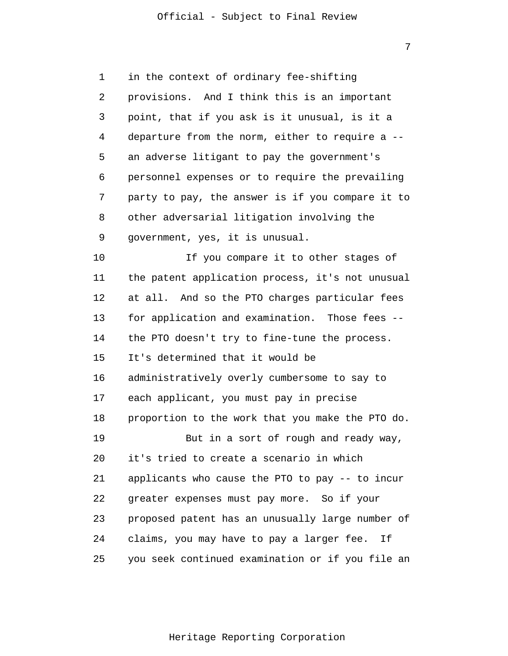7

| 1  | in the context of ordinary fee-shifting          |
|----|--------------------------------------------------|
| 2  | provisions. And I think this is an important     |
| 3  | point, that if you ask is it unusual, is it a    |
| 4  | departure from the norm, either to require a --  |
| 5  | an adverse litigant to pay the government's      |
| 6  | personnel expenses or to require the prevailing  |
| 7  | party to pay, the answer is if you compare it to |
| 8  | other adversarial litigation involving the       |
| 9  | government, yes, it is unusual.                  |
| 10 | If you compare it to other stages of             |
| 11 | the patent application process, it's not unusual |
| 12 | at all. And so the PTO charges particular fees   |
| 13 | for application and examination. Those fees --   |
| 14 | the PTO doesn't try to fine-tune the process.    |
| 15 | It's determined that it would be                 |
| 16 | administratively overly cumbersome to say to     |
| 17 | each applicant, you must pay in precise          |
| 18 | proportion to the work that you make the PTO do. |
| 19 | But in a sort of rough and ready way,            |
| 20 | it's tried to create a scenario in which         |
| 21 | applicants who cause the PTO to pay -- to incur  |
| 22 | greater expenses must pay more. So if your       |
| 23 | proposed patent has an unusually large number of |
| 24 | claims, you may have to pay a larger fee. If     |
| 25 | you seek continued examination or if you file an |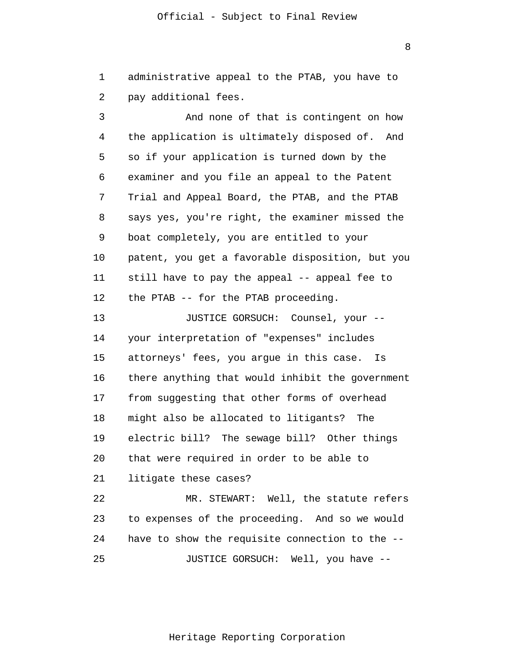1 2 administrative appeal to the PTAB, you have to pay additional fees.

3 4 5 6 7 8 9 10 11 12 And none of that is contingent on how the application is ultimately disposed of. And so if your application is turned down by the examiner and you file an appeal to the Patent Trial and Appeal Board, the PTAB, and the PTAB says yes, you're right, the examiner missed the boat completely, you are entitled to your patent, you get a favorable disposition, but you still have to pay the appeal -- appeal fee to the PTAB -- for the PTAB proceeding.

13 14 15 16 17 18 19 20 21 22 JUSTICE GORSUCH: Counsel, your - your interpretation of "expenses" includes attorneys' fees, you argue in this case. Is there anything that would inhibit the government from suggesting that other forms of overhead might also be allocated to litigants? The electric bill? The sewage bill? Other things that were required in order to be able to litigate these cases? MR. STEWART: Well, the statute refers

23 24 25 to expenses of the proceeding. And so we would have to show the requisite connection to the -- JUSTICE GORSUCH: Well, you have --

Heritage Reporting Corporation

8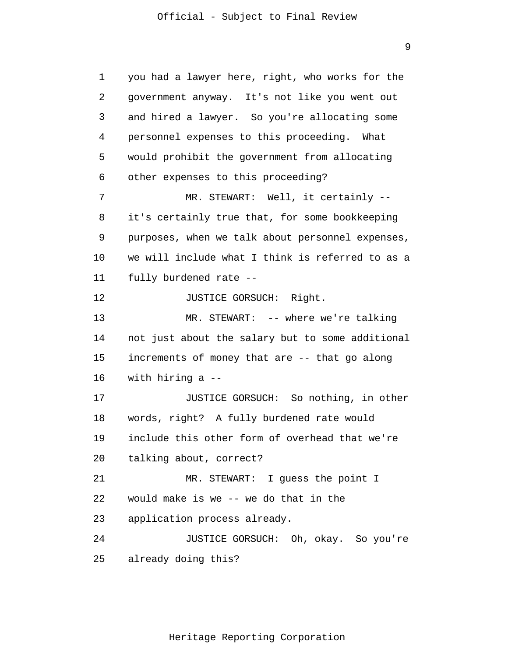9

1 2 3 4 5 6 7 8 9 10 11 12 13 14 15 16 17 18 19 20 21 22 23 24 25 you had a lawyer here, right, who works for the government anyway. It's not like you went out and hired a lawyer. So you're allocating some personnel expenses to this proceeding. What would prohibit the government from allocating other expenses to this proceeding? MR. STEWART: Well, it certainly - it's certainly true that, for some bookkeeping purposes, when we talk about personnel expenses, we will include what I think is referred to as a fully burdened rate -- JUSTICE GORSUCH: Right. MR. STEWART: -- where we're talking not just about the salary but to some additional increments of money that are -- that go along with hiring a -- JUSTICE GORSUCH: So nothing, in other words, right? A fully burdened rate would include this other form of overhead that we're talking about, correct? MR. STEWART: I guess the point I would make is we -- we do that in the application process already. JUSTICE GORSUCH: Oh, okay. So you're already doing this?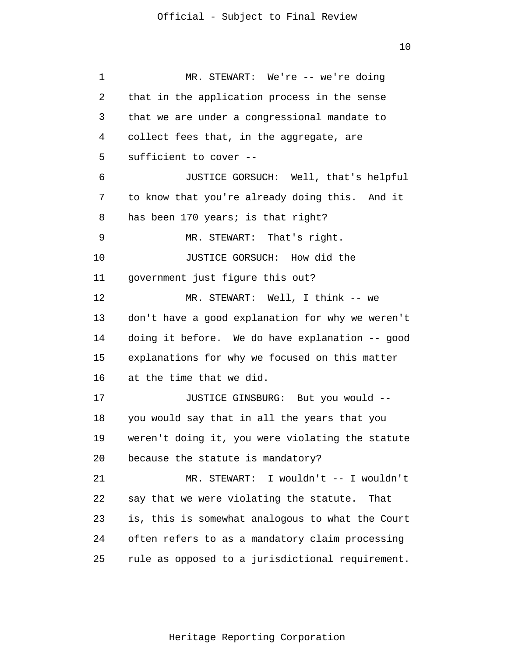1 2 3 4 5 6 7 8 9 10 11 12 13 14 15 16 17 18 19 20 21 22 23 24 25 MR. STEWART: We're -- we're doing that in the application process in the sense that we are under a congressional mandate to collect fees that, in the aggregate, are sufficient to cover -- JUSTICE GORSUCH: Well, that's helpful to know that you're already doing this. And it has been 170 years; is that right? MR. STEWART: That's right. JUSTICE GORSUCH: How did the government just figure this out? MR. STEWART: Well, I think -- we don't have a good explanation for why we weren't doing it before. We do have explanation -- good explanations for why we focused on this matter at the time that we did. JUSTICE GINSBURG: But you would - you would say that in all the years that you weren't doing it, you were violating the statute because the statute is mandatory? MR. STEWART: I wouldn't -- I wouldn't say that we were violating the statute. That is, this is somewhat analogous to what the Court often refers to as a mandatory claim processing rule as opposed to a jurisdictional requirement.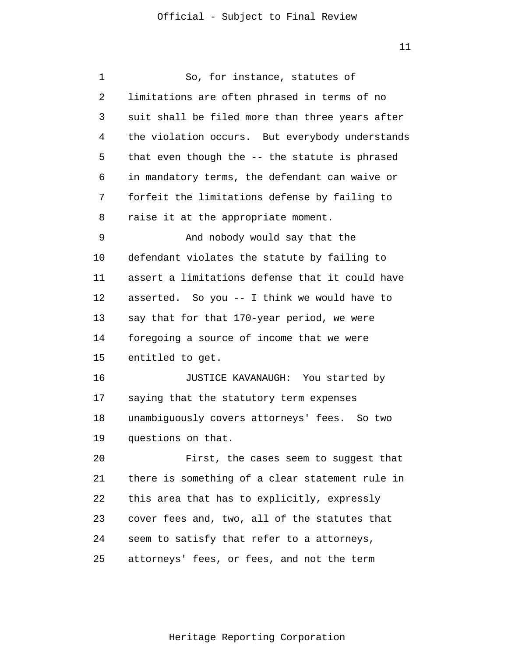| 1  | So, for instance, statutes of                   |
|----|-------------------------------------------------|
| 2  | limitations are often phrased in terms of no    |
| 3  | suit shall be filed more than three years after |
| 4  | the violation occurs. But everybody understands |
| 5  | that even though the -- the statute is phrased  |
| 6  | in mandatory terms, the defendant can waive or  |
| 7  | forfeit the limitations defense by failing to   |
| 8  | raise it at the appropriate moment.             |
| 9  | And nobody would say that the                   |
| 10 | defendant violates the statute by failing to    |
| 11 | assert a limitations defense that it could have |
| 12 | asserted. So you -- I think we would have to    |
| 13 | say that for that 170-year period, we were      |
| 14 | foregoing a source of income that we were       |
| 15 | entitled to get.                                |
| 16 | JUSTICE KAVANAUGH: You started by               |
| 17 | saying that the statutory term expenses         |
| 18 | unambiguously covers attorneys' fees. So two    |
| 19 | questions on that.                              |
| 20 | First, the cases seem to suggest that           |
| 21 | there is something of a clear statement rule in |
| 22 | this area that has to explicitly, expressly     |
| 23 | cover fees and, two, all of the statutes that   |
| 24 | seem to satisfy that refer to a attorneys,      |
| 25 | attorneys' fees, or fees, and not the term      |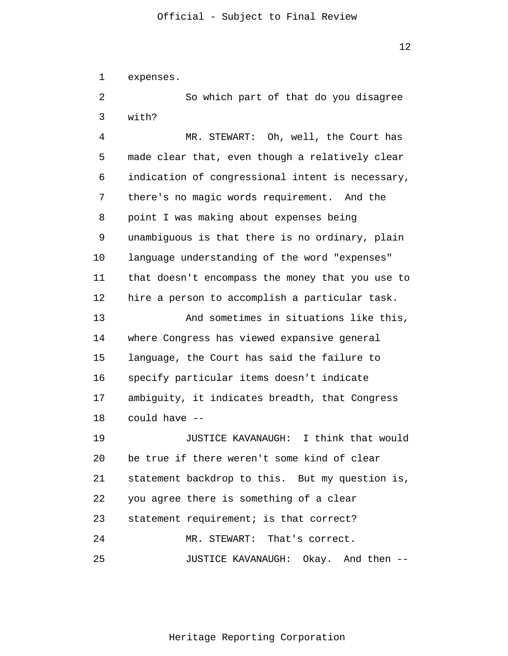1 expenses.

 $\overline{2}$ 3 So which part of that do you disagree with?

4 5 6 7 8 9 10 11 12 13 14 15 16 MR. STEWART: Oh, well, the Court has made clear that, even though a relatively clear indication of congressional intent is necessary, there's no magic words requirement. And the point I was making about expenses being unambiguous is that there is no ordinary, plain language understanding of the word "expenses" that doesn't encompass the money that you use to hire a person to accomplish a particular task. And sometimes in situations like this, where Congress has viewed expansive general language, the Court has said the failure to specify particular items doesn't indicate

17 18 ambiguity, it indicates breadth, that Congress could have --

19 20 21 22 23 24 25 JUSTICE KAVANAUGH: I think that would be true if there weren't some kind of clear statement backdrop to this. But my question is, you agree there is something of a clear statement requirement; is that correct? MR. STEWART: That's correct. JUSTICE KAVANAUGH: Okay. And then --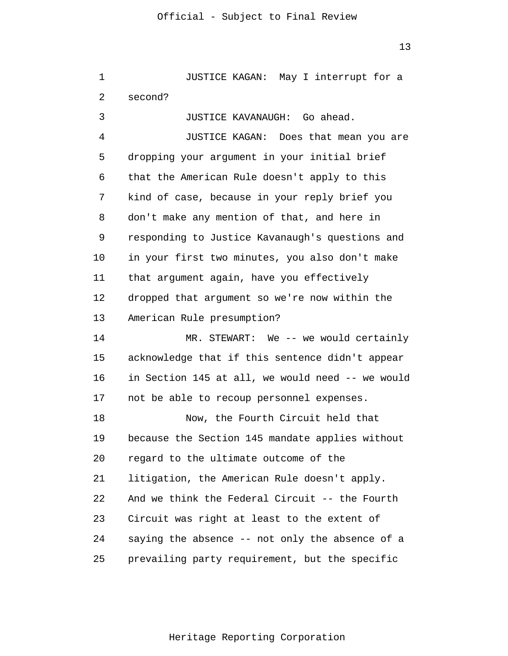1  $\overline{2}$ 3 JUSTICE KAGAN: May I interrupt for a second? JUSTICE KAVANAUGH: Go ahead.

4 5 6 7 8 9 10 11 12 13 JUSTICE KAGAN: Does that mean you are dropping your argument in your initial brief that the American Rule doesn't apply to this kind of case, because in your reply brief you don't make any mention of that, and here in responding to Justice Kavanaugh's questions and in your first two minutes, you also don't make that argument again, have you effectively dropped that argument so we're now within the American Rule presumption?

14 15 16 17 MR. STEWART: We -- we would certainly acknowledge that if this sentence didn't appear in Section 145 at all, we would need -- we would not be able to recoup personnel expenses.

18 19 20 21 22 23 24 25 Now, the Fourth Circuit held that because the Section 145 mandate applies without regard to the ultimate outcome of the litigation, the American Rule doesn't apply. And we think the Federal Circuit -- the Fourth Circuit was right at least to the extent of saying the absence -- not only the absence of a prevailing party requirement, but the specific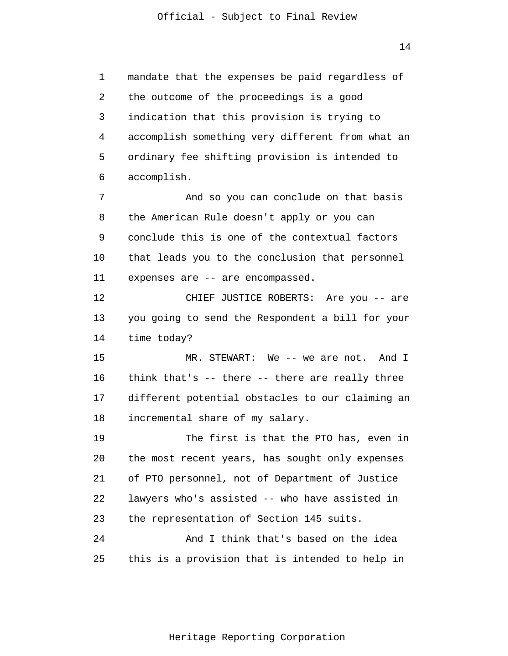1 2 3 4 5 6 mandate that the expenses be paid regardless of the outcome of the proceedings is a good indication that this provision is trying to accomplish something very different from what an ordinary fee shifting provision is intended to accomplish.

7 8 9 10 11 And so you can conclude on that basis the American Rule doesn't apply or you can conclude this is one of the contextual factors that leads you to the conclusion that personnel expenses are -- are encompassed.

12 13 14 CHIEF JUSTICE ROBERTS: Are you -- are you going to send the Respondent a bill for your time today?

15 16 17 18 MR. STEWART: We -- we are not. And I think that's -- there -- there are really three different potential obstacles to our claiming an incremental share of my salary.

19 20 21 22 23 24 The first is that the PTO has, even in the most recent years, has sought only expenses of PTO personnel, not of Department of Justice lawyers who's assisted -- who have assisted in the representation of Section 145 suits. And I think that's based on the idea

25 this is a provision that is intended to help in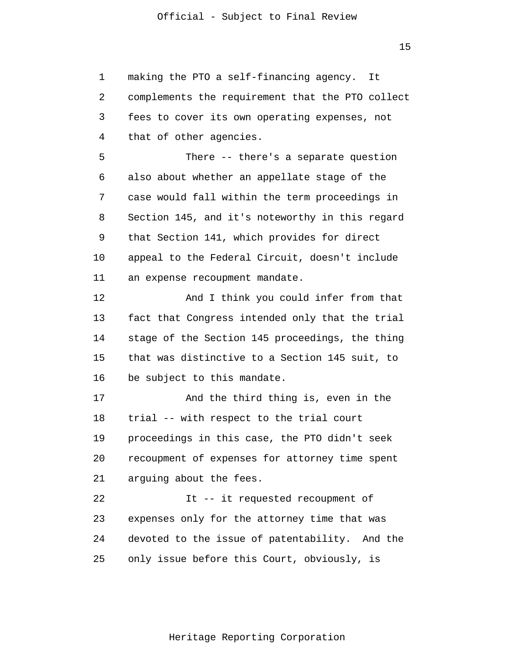1  $\overline{2}$ 3 4 making the PTO a self-financing agency. It complements the requirement that the PTO collect fees to cover its own operating expenses, not that of other agencies.

5 6 7 8 9 10 11 There -- there's a separate question also about whether an appellate stage of the case would fall within the term proceedings in Section 145, and it's noteworthy in this regard that Section 141, which provides for direct appeal to the Federal Circuit, doesn't include an expense recoupment mandate.

12 13 14 15 16 And I think you could infer from that fact that Congress intended only that the trial stage of the Section 145 proceedings, the thing that was distinctive to a Section 145 suit, to be subject to this mandate.

17 18 19 20 21 And the third thing is, even in the trial -- with respect to the trial court proceedings in this case, the PTO didn't seek recoupment of expenses for attorney time spent arguing about the fees.

22 23 24 25 It -- it requested recoupment of expenses only for the attorney time that was devoted to the issue of patentability. And the only issue before this Court, obviously, is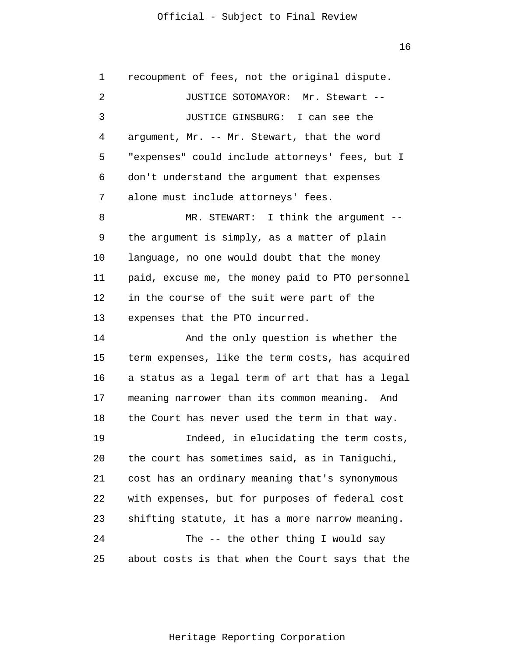16

| 1  | recoupment of fees, not the original dispute.    |
|----|--------------------------------------------------|
| 2  | JUSTICE SOTOMAYOR: Mr. Stewart --                |
| 3  | JUSTICE GINSBURG: I can see the                  |
| 4  | argument, Mr. -- Mr. Stewart, that the word      |
| 5  | "expenses" could include attorneys' fees, but I  |
| 6  | don't understand the argument that expenses      |
| 7  | alone must include attorneys' fees.              |
| 8  | MR. STEWART: I think the argument $-$ -          |
| 9  | the argument is simply, as a matter of plain     |
| 10 | language, no one would doubt that the money      |
| 11 | paid, excuse me, the money paid to PTO personnel |
| 12 | in the course of the suit were part of the       |
| 13 | expenses that the PTO incurred.                  |
| 14 | And the only question is whether the             |
| 15 | term expenses, like the term costs, has acquired |
| 16 | a status as a legal term of art that has a legal |
| 17 | meaning narrower than its common meaning. And    |
| 18 | the Court has never used the term in that way.   |
| 19 | Indeed, in elucidating the term costs,           |
| 20 | the court has sometimes said, as in Taniguchi,   |
| 21 | cost has an ordinary meaning that's synonymous   |
| 22 | with expenses, but for purposes of federal cost  |
| 23 | shifting statute, it has a more narrow meaning.  |
| 24 | The -- the other thing I would say               |
| 25 | about costs is that when the Court says that the |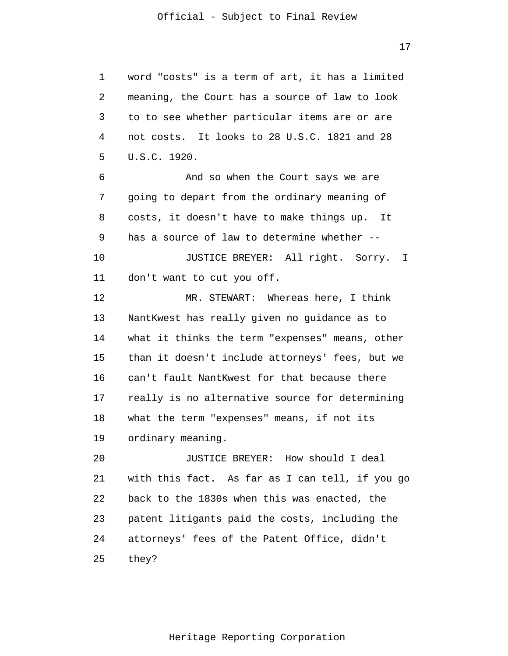1 2 3 4 5 word "costs" is a term of art, it has a limited meaning, the Court has a source of law to look to to see whether particular items are or are not costs. It looks to 28 U.S.C. 1821 and 28 U.S.C. 1920.

6 7 8 9 10 And so when the Court says we are going to depart from the ordinary meaning of costs, it doesn't have to make things up. It has a source of law to determine whether -- JUSTICE BREYER: All right. Sorry. I

11 don't want to cut you off.

12 13 14 15 16 17 18 19 MR. STEWART: Whereas here, I think NantKwest has really given no guidance as to what it thinks the term "expenses" means, other than it doesn't include attorneys' fees, but we can't fault NantKwest for that because there really is no alternative source for determining what the term "expenses" means, if not its ordinary meaning.

20 21 22 23 24 25 JUSTICE BREYER: How should I deal with this fact. As far as I can tell, if you go back to the 1830s when this was enacted, the patent litigants paid the costs, including the attorneys' fees of the Patent Office, didn't they?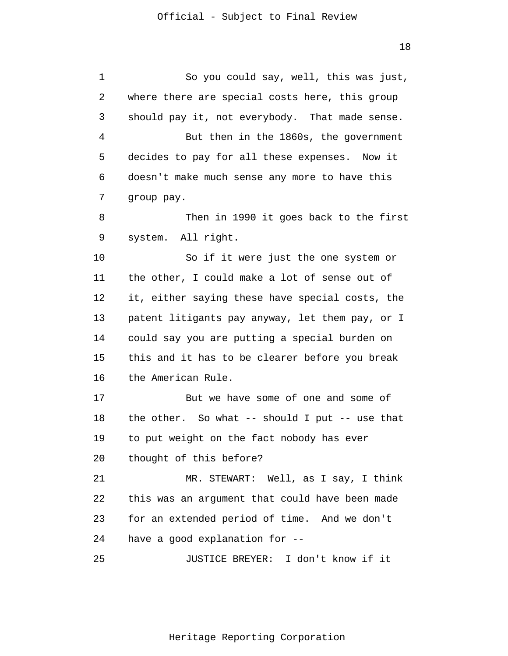1 2 3 4 5 6 7 8 9 10 11 12 13 14 15 16 17 18 19 20 21 22 23 24 25 So you could say, well, this was just, where there are special costs here, this group should pay it, not everybody. That made sense. But then in the 1860s, the government decides to pay for all these expenses. Now it doesn't make much sense any more to have this group pay. Then in 1990 it goes back to the first system. All right. So if it were just the one system or the other, I could make a lot of sense out of it, either saying these have special costs, the patent litigants pay anyway, let them pay, or I could say you are putting a special burden on this and it has to be clearer before you break the American Rule. But we have some of one and some of the other. So what -- should I put -- use that to put weight on the fact nobody has ever thought of this before? MR. STEWART: Well, as I say, I think this was an argument that could have been made for an extended period of time. And we don't have a good explanation for -- JUSTICE BREYER: I don't know if it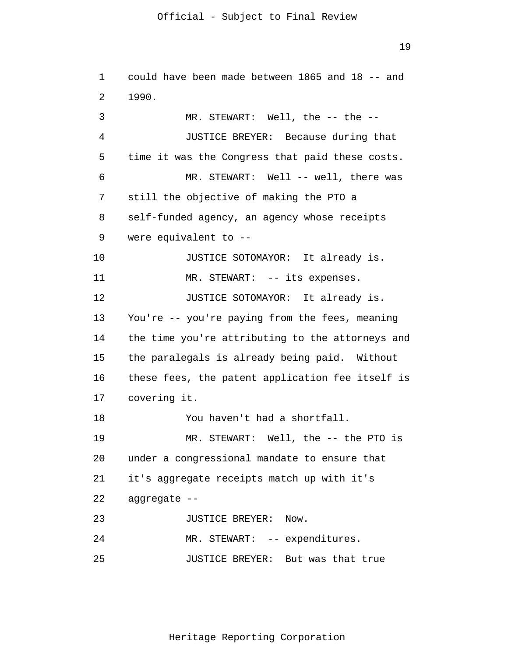19

1  $\overline{2}$ 3 4 5 6 7 8 9 10 11 12 13 14 15 16 17 18 19 20 21 22 23 24 25 could have been made between 1865 and 18 -- and 1990. MR. STEWART: Well, the -- the --JUSTICE BREYER: Because during that time it was the Congress that paid these costs. MR. STEWART: Well -- well, there was still the objective of making the PTO a self-funded agency, an agency whose receipts were equivalent to -- JUSTICE SOTOMAYOR: It already is. MR. STEWART: -- its expenses. JUSTICE SOTOMAYOR: It already is. You're -- you're paying from the fees, meaning the time you're attributing to the attorneys and the paralegals is already being paid. Without these fees, the patent application fee itself is covering it. You haven't had a shortfall. MR. STEWART: Well, the -- the PTO is under a congressional mandate to ensure that it's aggregate receipts match up with it's aggregate -- JUSTICE BREYER: Now. MR. STEWART: -- expenditures. JUSTICE BREYER: But was that true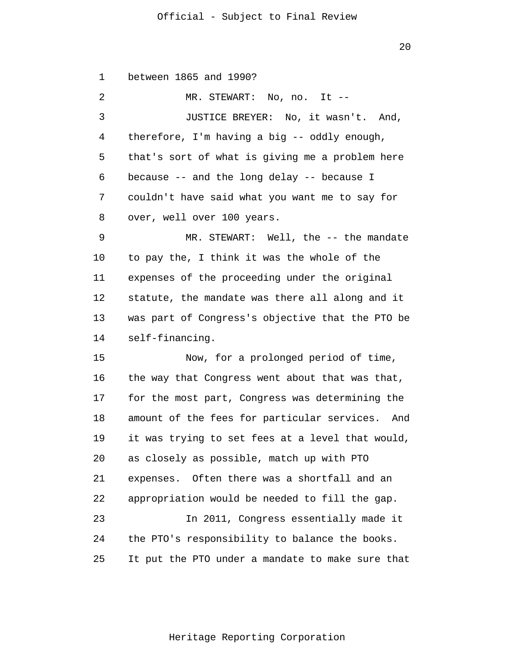20

1  $\overline{2}$ 3 4 5 6 7 8 9 10 11 12 13 14 15 16 17 18 19 20 21 22 23 24 25 between 1865 and 1990? MR. STEWART: No, no. It -- JUSTICE BREYER: No, it wasn't. And, therefore, I'm having a big -- oddly enough, that's sort of what is giving me a problem here because -- and the long delay -- because I couldn't have said what you want me to say for over, well over 100 years. MR. STEWART: Well, the -- the mandate to pay the, I think it was the whole of the expenses of the proceeding under the original statute, the mandate was there all along and it was part of Congress's objective that the PTO be self-financing. Now, for a prolonged period of time, the way that Congress went about that was that, for the most part, Congress was determining the amount of the fees for particular services. And it was trying to set fees at a level that would, as closely as possible, match up with PTO expenses. Often there was a shortfall and an appropriation would be needed to fill the gap. In 2011, Congress essentially made it the PTO's responsibility to balance the books. It put the PTO under a mandate to make sure that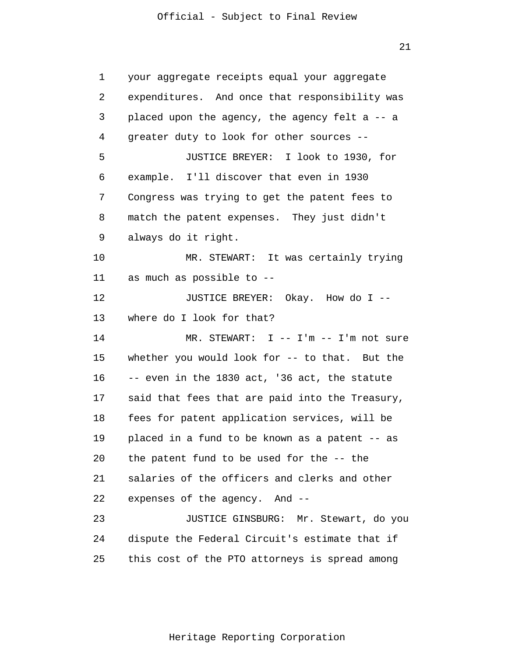21

1 2 3 4 5 6 7 8 9 10 11 12 13 14 15 16 17 18 19 20 21 22 23 24 25 your aggregate receipts equal your aggregate expenditures. And once that responsibility was placed upon the agency, the agency felt a -- a greater duty to look for other sources -- JUSTICE BREYER: I look to 1930, for example. I'll discover that even in 1930 Congress was trying to get the patent fees to match the patent expenses. They just didn't always do it right. MR. STEWART: It was certainly trying as much as possible to -- JUSTICE BREYER: Okay. How do I - where do I look for that? MR. STEWART: I -- I'm -- I'm not sure whether you would look for -- to that. But the -- even in the 1830 act, '36 act, the statute said that fees that are paid into the Treasury, fees for patent application services, will be placed in a fund to be known as a patent -- as the patent fund to be used for the -- the salaries of the officers and clerks and other expenses of the agency. And -- JUSTICE GINSBURG: Mr. Stewart, do you dispute the Federal Circuit's estimate that if this cost of the PTO attorneys is spread among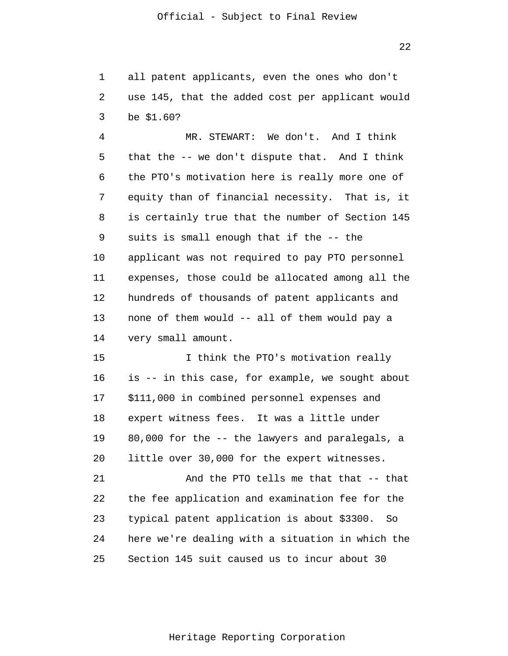22

1  $\overline{2}$ 3 all patent applicants, even the ones who don't use 145, that the added cost per applicant would be \$1.60?

4 5 6 7 8 9 10 11 12 13 14 MR. STEWART: We don't. And I think that the -- we don't dispute that. And I think the PTO's motivation here is really more one of equity than of financial necessity. That is, it is certainly true that the number of Section 145 suits is small enough that if the -- the applicant was not required to pay PTO personnel expenses, those could be allocated among all the hundreds of thousands of patent applicants and none of them would -- all of them would pay a very small amount.

15 16 17 18 19 20 I think the PTO's motivation really is -- in this case, for example, we sought about \$111,000 in combined personnel expenses and expert witness fees. It was a little under 80,000 for the -- the lawyers and paralegals, a little over 30,000 for the expert witnesses.

21 22 23 24 25 And the PTO tells me that that -- that the fee application and examination fee for the typical patent application is about \$3300. So here we're dealing with a situation in which the Section 145 suit caused us to incur about 30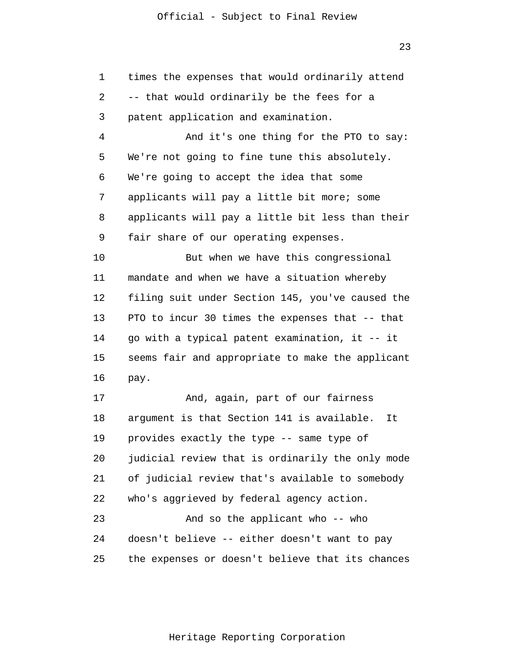23

1  $\overline{2}$ 3 4 5 6 7 8 9 10 11 12 13 14 15 16 17 18 19 20 21 22 23 24 25 times the expenses that would ordinarily attend -- that would ordinarily be the fees for a patent application and examination. And it's one thing for the PTO to say: We're not going to fine tune this absolutely. We're going to accept the idea that some applicants will pay a little bit more; some applicants will pay a little bit less than their fair share of our operating expenses. But when we have this congressional mandate and when we have a situation whereby filing suit under Section 145, you've caused the PTO to incur 30 times the expenses that -- that go with a typical patent examination, it -- it seems fair and appropriate to make the applicant pay. And, again, part of our fairness argument is that Section 141 is available. It provides exactly the type -- same type of judicial review that is ordinarily the only mode of judicial review that's available to somebody who's aggrieved by federal agency action. And so the applicant who -- who doesn't believe -- either doesn't want to pay the expenses or doesn't believe that its chances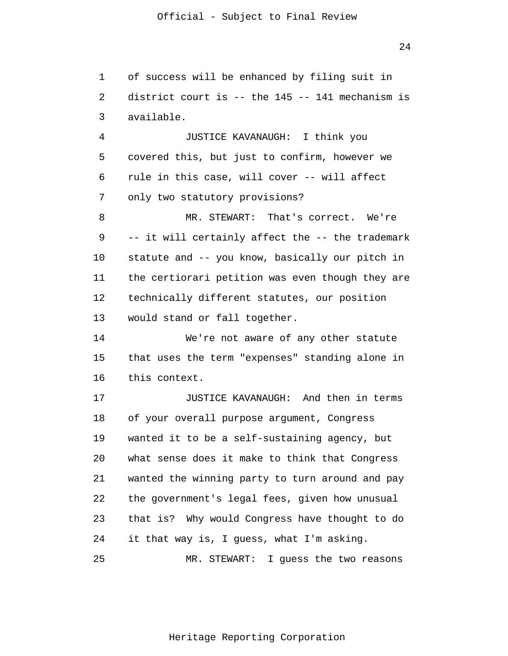1  $\overline{2}$ 3 of success will be enhanced by filing suit in district court is -- the 145 -- 141 mechanism is available.

4 5 6 7 JUSTICE KAVANAUGH: I think you covered this, but just to confirm, however we rule in this case, will cover -- will affect only two statutory provisions?

8 9 10 11 12 13 MR. STEWART: That's correct. We're -- it will certainly affect the -- the trademark statute and -- you know, basically our pitch in the certiorari petition was even though they are technically different statutes, our position would stand or fall together.

14 15 16 We're not aware of any other statute that uses the term "expenses" standing alone in this context.

17 18 19 20 21 22 23 24 25 JUSTICE KAVANAUGH: And then in terms of your overall purpose argument, Congress wanted it to be a self-sustaining agency, but what sense does it make to think that Congress wanted the winning party to turn around and pay the government's legal fees, given how unusual that is? Why would Congress have thought to do it that way is, I guess, what I'm asking. MR. STEWART: I guess the two reasons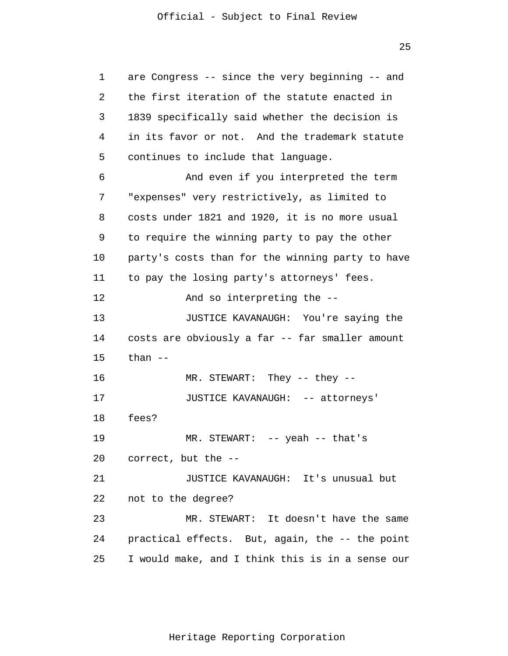1  $\overline{2}$ 3 4 5 6 7 8 9 10 11 12 13 14 15 16 17 18 19 20 21 22 23 24 25 are Congress -- since the very beginning -- and the first iteration of the statute enacted in 1839 specifically said whether the decision is in its favor or not. And the trademark statute continues to include that language. And even if you interpreted the term "expenses" very restrictively, as limited to costs under 1821 and 1920, it is no more usual to require the winning party to pay the other party's costs than for the winning party to have to pay the losing party's attorneys' fees. And so interpreting the -- JUSTICE KAVANAUGH: You're saying the costs are obviously a far -- far smaller amount than -- MR. STEWART: They -- they -- JUSTICE KAVANAUGH: -- attorneys' fees? MR. STEWART: -- yeah -- that's correct, but the -- JUSTICE KAVANAUGH: It's unusual but not to the degree? MR. STEWART: It doesn't have the same practical effects. But, again, the -- the point I would make, and I think this is in a sense our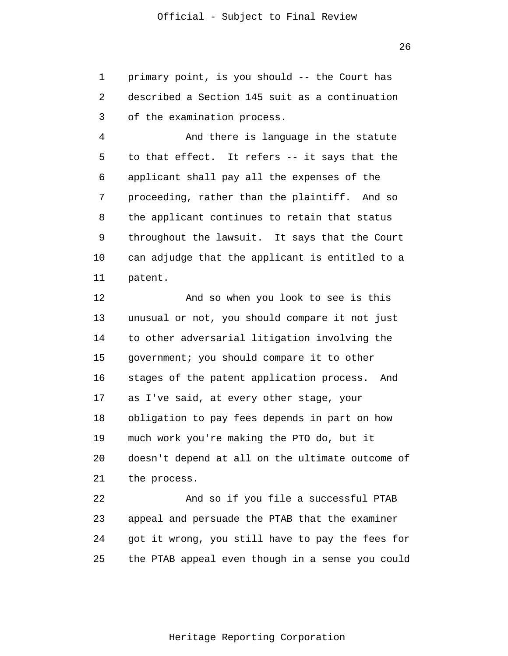1  $\overline{2}$ 3 primary point, is you should -- the Court has described a Section 145 suit as a continuation of the examination process.

4 5 6 7 8 9 10 11 And there is language in the statute to that effect. It refers -- it says that the applicant shall pay all the expenses of the proceeding, rather than the plaintiff. And so the applicant continues to retain that status throughout the lawsuit. It says that the Court can adjudge that the applicant is entitled to a patent.

12 13 14 15 16 17 18 19 20 21 And so when you look to see is this unusual or not, you should compare it not just to other adversarial litigation involving the government; you should compare it to other stages of the patent application process. And as I've said, at every other stage, your obligation to pay fees depends in part on how much work you're making the PTO do, but it doesn't depend at all on the ultimate outcome of the process.

22 23 24 25 And so if you file a successful PTAB appeal and persuade the PTAB that the examiner got it wrong, you still have to pay the fees for the PTAB appeal even though in a sense you could

Heritage Reporting Corporation

26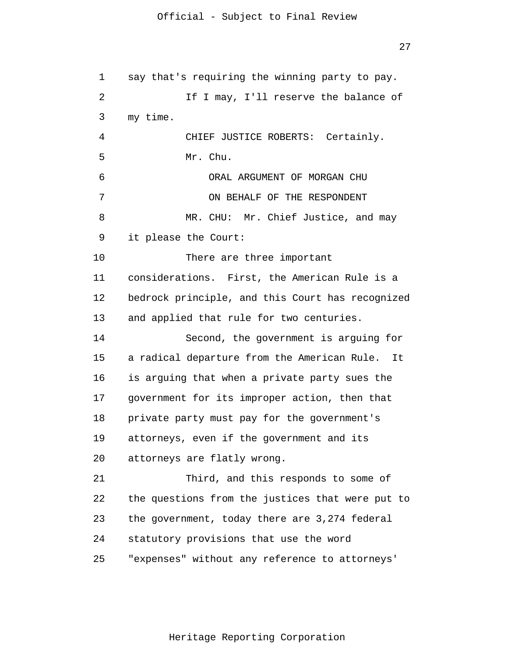1  $\overline{2}$ 3 4 5 6 7 8 9 10 11 12 13 14 15 16 17 18 19 20 21 22 23 24 25 say that's requiring the winning party to pay. If I may, I'll reserve the balance of my time. CHIEF JUSTICE ROBERTS: Certainly. Mr. Chu. ORAL ARGUMENT OF MORGAN CHU ON BEHALF OF THE RESPONDENT MR. CHU: Mr. Chief Justice, and may it please the Court: There are three important considerations. First, the American Rule is a bedrock principle, and this Court has recognized and applied that rule for two centuries. Second, the government is arguing for a radical departure from the American Rule. It is arguing that when a private party sues the government for its improper action, then that private party must pay for the government's attorneys, even if the government and its attorneys are flatly wrong. Third, and this responds to some of the questions from the justices that were put to the government, today there are 3,274 federal statutory provisions that use the word "expenses" without any reference to attorneys'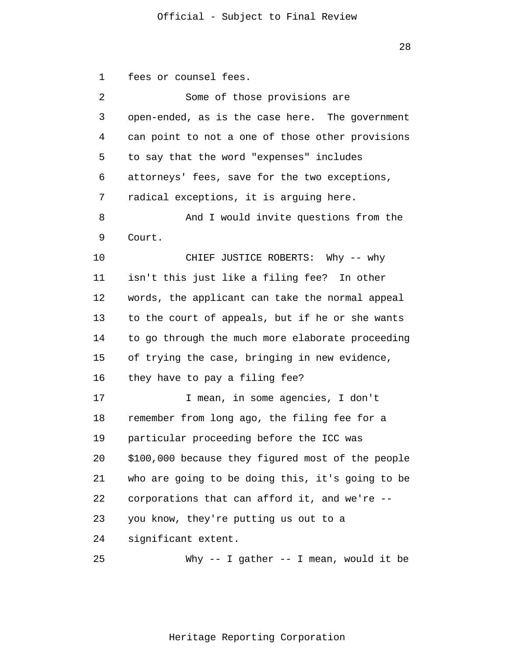1  $\overline{2}$ 3 4 5 6 7 8 9 10 11 12 13 14 15 16 17 18 19 20 21 22 23 24 25 fees or counsel fees. Some of those provisions are open-ended, as is the case here. The government can point to not a one of those other provisions to say that the word "expenses" includes attorneys' fees, save for the two exceptions, radical exceptions, it is arguing here. And I would invite questions from the Court. CHIEF JUSTICE ROBERTS: Why -- why isn't this just like a filing fee? In other words, the applicant can take the normal appeal to the court of appeals, but if he or she wants to go through the much more elaborate proceeding of trying the case, bringing in new evidence, they have to pay a filing fee? I mean, in some agencies, I don't remember from long ago, the filing fee for a particular proceeding before the ICC was \$100,000 because they figured most of the people who are going to be doing this, it's going to be corporations that can afford it, and we're - you know, they're putting us out to a significant extent. Why -- I gather -- I mean, would it be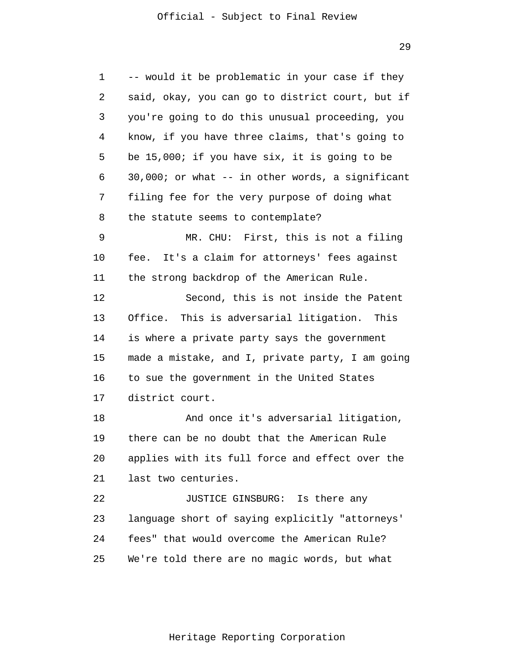1 2 3 4 5 6 7 8 9 10 11 12 13 14 15 16 17 18 19 20 21 22 23 24 25 -- would it be problematic in your case if they said, okay, you can go to district court, but if you're going to do this unusual proceeding, you know, if you have three claims, that's going to be 15,000; if you have six, it is going to be 30,000; or what -- in other words, a significant filing fee for the very purpose of doing what the statute seems to contemplate? MR. CHU: First, this is not a filing fee. It's a claim for attorneys' fees against the strong backdrop of the American Rule. Second, this is not inside the Patent Office. This is adversarial litigation. This is where a private party says the government made a mistake, and I, private party, I am going to sue the government in the United States district court. And once it's adversarial litigation, there can be no doubt that the American Rule applies with its full force and effect over the last two centuries. JUSTICE GINSBURG: Is there any language short of saying explicitly "attorneys' fees" that would overcome the American Rule? We're told there are no magic words, but what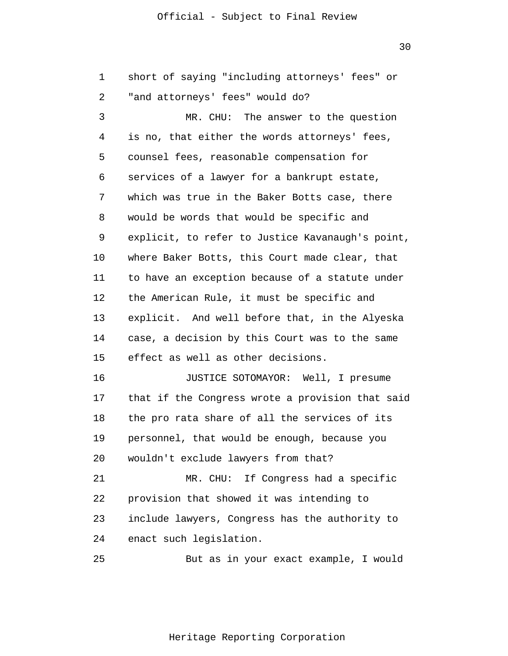30

| 1  | short of saying "including attorneys' fees" or   |
|----|--------------------------------------------------|
| 2  | "and attorneys' fees" would do?                  |
| 3  | MR. CHU: The answer to the question              |
| 4  | is no, that either the words attorneys' fees,    |
| 5  | counsel fees, reasonable compensation for        |
| 6  | services of a lawyer for a bankrupt estate,      |
| 7  | which was true in the Baker Botts case, there    |
| 8  | would be words that would be specific and        |
| 9  | explicit, to refer to Justice Kavanaugh's point, |
| 10 | where Baker Botts, this Court made clear, that   |
| 11 | to have an exception because of a statute under  |
| 12 | the American Rule, it must be specific and       |
| 13 | explicit. And well before that, in the Alyeska   |
| 14 | case, a decision by this Court was to the same   |
| 15 | effect as well as other decisions.               |
| 16 | JUSTICE SOTOMAYOR: Well, I presume               |
| 17 | that if the Congress wrote a provision that said |
| 18 | the pro rata share of all the services of its    |
| 19 | personnel, that would be enough, because you     |
| 20 | wouldn't exclude lawyers from that?              |
| 21 | MR. CHU: If Congress had a specific              |
| 22 | provision that showed it was intending to        |
| 23 | include lawyers, Congress has the authority to   |
| 24 | enact such legislation.                          |
| 25 | But as in your exact example, I would            |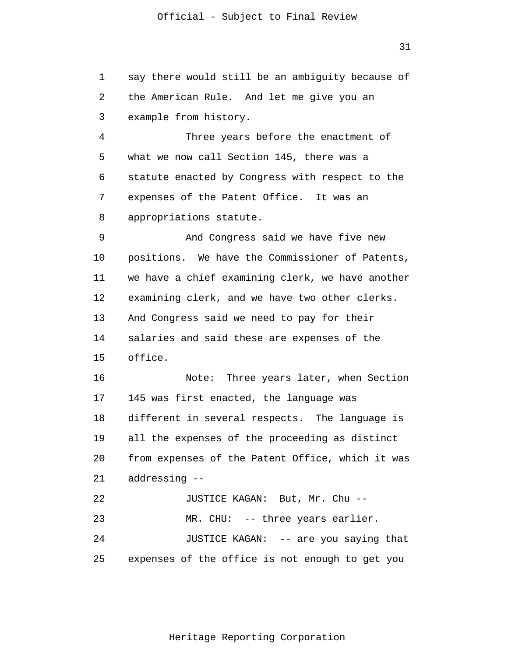1 2 3 4 5 6 7 8 9 10 11 12 13 14 15 16 17 18 19 20 21 22 23 24 25 say there would still be an ambiguity because of the American Rule. And let me give you an example from history. Three years before the enactment of what we now call Section 145, there was a statute enacted by Congress with respect to the expenses of the Patent Office. It was an appropriations statute. And Congress said we have five new positions. We have the Commissioner of Patents, we have a chief examining clerk, we have another examining clerk, and we have two other clerks. And Congress said we need to pay for their salaries and said these are expenses of the office. Note: Three years later, when Section 145 was first enacted, the language was different in several respects. The language is all the expenses of the proceeding as distinct from expenses of the Patent Office, which it was addressing -- JUSTICE KAGAN: But, Mr. Chu -- MR. CHU: -- three years earlier. JUSTICE KAGAN: -- are you saying that expenses of the office is not enough to get you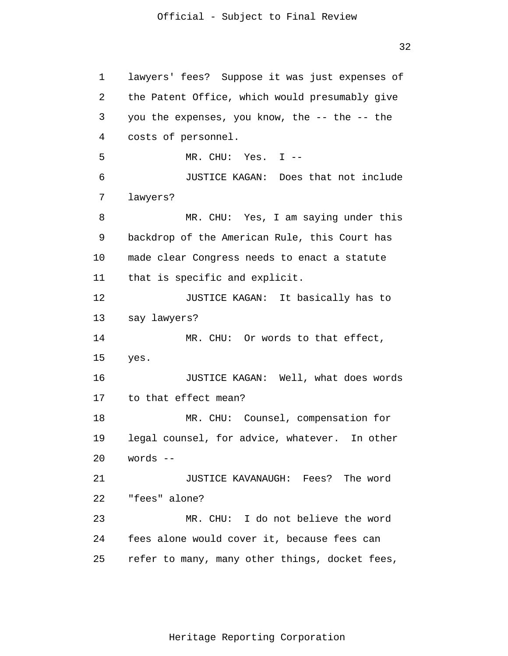32

1 2 3 4 5 6 7 8 9 10 11 12 13 14 15 16 17 18 19 20 21 22 23 24 25 lawyers' fees? Suppose it was just expenses of the Patent Office, which would presumably give you the expenses, you know, the -- the -- the costs of personnel. MR. CHU: Yes. I -- JUSTICE KAGAN: Does that not include lawyers? MR. CHU: Yes, I am saying under this backdrop of the American Rule, this Court has made clear Congress needs to enact a statute that is specific and explicit. JUSTICE KAGAN: It basically has to say lawyers? MR. CHU: Or words to that effect, yes. JUSTICE KAGAN: Well, what does words to that effect mean? MR. CHU: Counsel, compensation for legal counsel, for advice, whatever. In other words -- JUSTICE KAVANAUGH: Fees? The word "fees" alone? MR. CHU: I do not believe the word fees alone would cover it, because fees can refer to many, many other things, docket fees,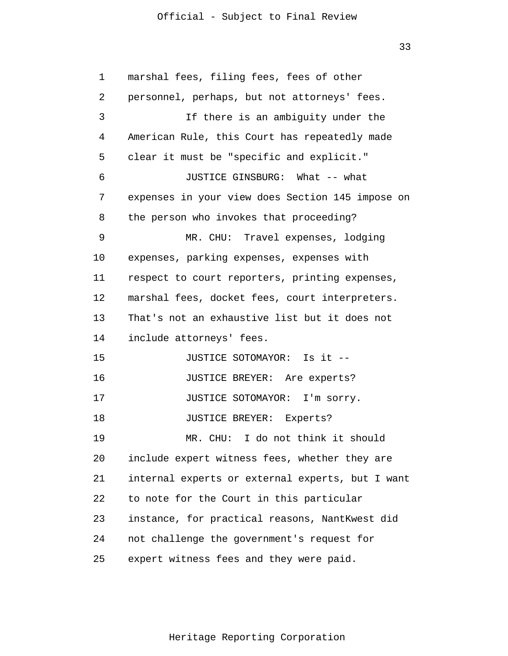33

| 1  | marshal fees, filing fees, fees of other         |
|----|--------------------------------------------------|
| 2  | personnel, perhaps, but not attorneys' fees.     |
| 3  | If there is an ambiguity under the               |
| 4  | American Rule, this Court has repeatedly made    |
| 5  | clear it must be "specific and explicit."        |
| 6  | JUSTICE GINSBURG: What -- what                   |
| 7  | expenses in your view does Section 145 impose on |
| 8  | the person who invokes that proceeding?          |
| 9  | MR. CHU: Travel expenses, lodging                |
| 10 | expenses, parking expenses, expenses with        |
| 11 | respect to court reporters, printing expenses,   |
| 12 | marshal fees, docket fees, court interpreters.   |
| 13 | That's not an exhaustive list but it does not    |
| 14 | include attorneys' fees.                         |
| 15 | JUSTICE SOTOMAYOR: Is it --                      |
| 16 | JUSTICE BREYER: Are experts?                     |
| 17 | JUSTICE SOTOMAYOR: I'm sorry.                    |
| 18 | JUSTICE BREYER: Experts?                         |
| 19 | MR. CHU: I do not think it should                |
| 20 | include expert witness fees, whether they are    |
| 21 | internal experts or external experts, but I want |
| 22 | to note for the Court in this particular         |
| 23 | instance, for practical reasons, NantKwest did   |
| 24 | not challenge the government's request for       |
| 25 | expert witness fees and they were paid.          |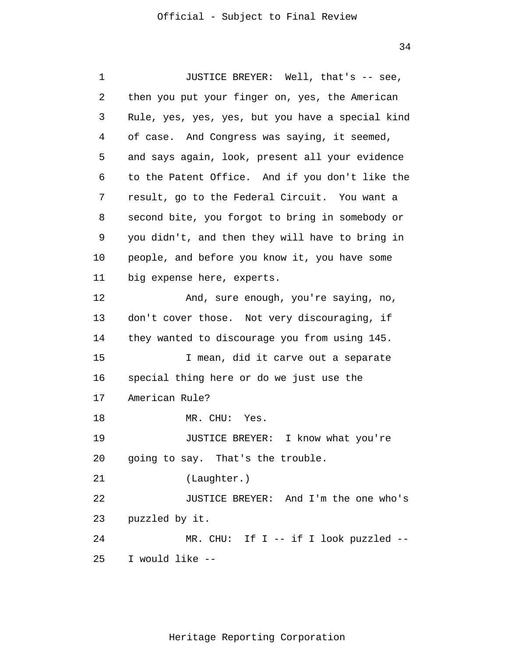1 2 3 4 5 6 7 8 9 10 11 12 13 14 15 16 17 18 19 20 21 22 23 24 25 JUSTICE BREYER: Well, that's -- see, then you put your finger on, yes, the American Rule, yes, yes, yes, but you have a special kind of case. And Congress was saying, it seemed, and says again, look, present all your evidence to the Patent Office. And if you don't like the result, go to the Federal Circuit. You want a second bite, you forgot to bring in somebody or you didn't, and then they will have to bring in people, and before you know it, you have some big expense here, experts. And, sure enough, you're saying, no, don't cover those. Not very discouraging, if they wanted to discourage you from using 145. I mean, did it carve out a separate special thing here or do we just use the American Rule? MR. CHU: Yes. JUSTICE BREYER: I know what you're going to say. That's the trouble. (Laughter.) JUSTICE BREYER: And I'm the one who's puzzled by it. MR. CHU: If I -- if I look puzzled --I would like --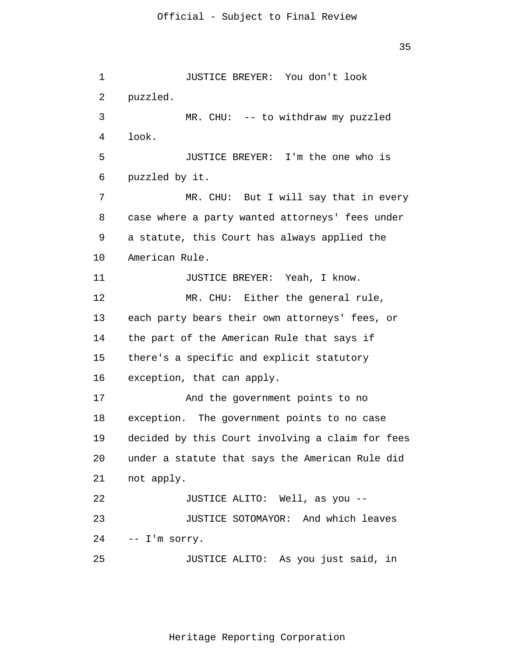1 2 3 4 5 6 7 8 9 10 11 12 13 14 15 16 17 18 19 20 21 22 23 24 25 JUSTICE BREYER: You don't look puzzled. MR. CHU: -- to withdraw my puzzled look. JUSTICE BREYER: I'm the one who is puzzled by it. MR. CHU: But I will say that in every case where a party wanted attorneys' fees under a statute, this Court has always applied the American Rule. JUSTICE BREYER: Yeah, I know. MR. CHU: Either the general rule, each party bears their own attorneys' fees, or the part of the American Rule that says if there's a specific and explicit statutory exception, that can apply. And the government points to no exception. The government points to no case decided by this Court involving a claim for fees under a statute that says the American Rule did not apply. JUSTICE ALITO: Well, as you -- JUSTICE SOTOMAYOR: And which leaves -- I'm sorry. JUSTICE ALITO: As you just said, in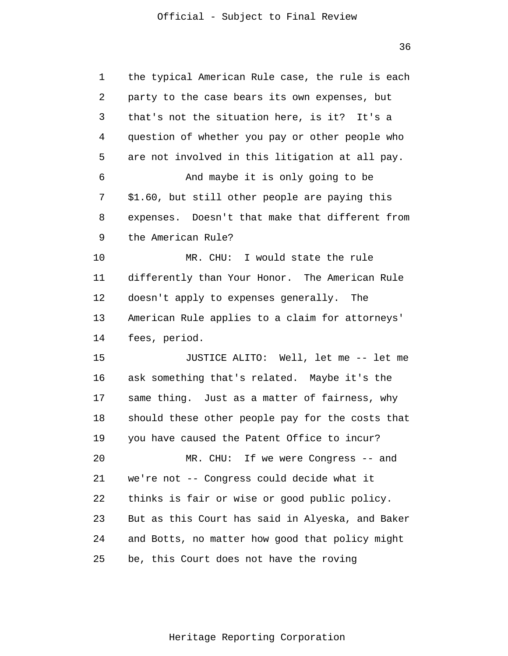36

| 1  | the typical American Rule case, the rule is each |
|----|--------------------------------------------------|
| 2  | party to the case bears its own expenses, but    |
| 3  | that's not the situation here, is it? It's a     |
| 4  | question of whether you pay or other people who  |
| 5  | are not involved in this litigation at all pay.  |
| 6  | And maybe it is only going to be                 |
| 7  | \$1.60, but still other people are paying this   |
| 8  | expenses. Doesn't that make that different from  |
| 9  | the American Rule?                               |
| 10 | MR. CHU: I would state the rule                  |
| 11 | differently than Your Honor. The American Rule   |
| 12 | doesn't apply to expenses generally. The         |
| 13 | American Rule applies to a claim for attorneys'  |
| 14 | fees, period.                                    |
| 15 | JUSTICE ALITO: Well, let me -- let me            |
| 16 | ask something that's related. Maybe it's the     |
| 17 | same thing. Just as a matter of fairness, why    |
| 18 | should these other people pay for the costs that |
| 19 | you have caused the Patent Office to incur?      |
| 20 | MR. CHU: If we were Congress -- and              |
| 21 | we're not -- Congress could decide what it       |
| 22 | thinks is fair or wise or good public policy.    |
| 23 | But as this Court has said in Alyeska, and Baker |
| 24 | and Botts, no matter how good that policy might  |
| 25 | be, this Court does not have the roving          |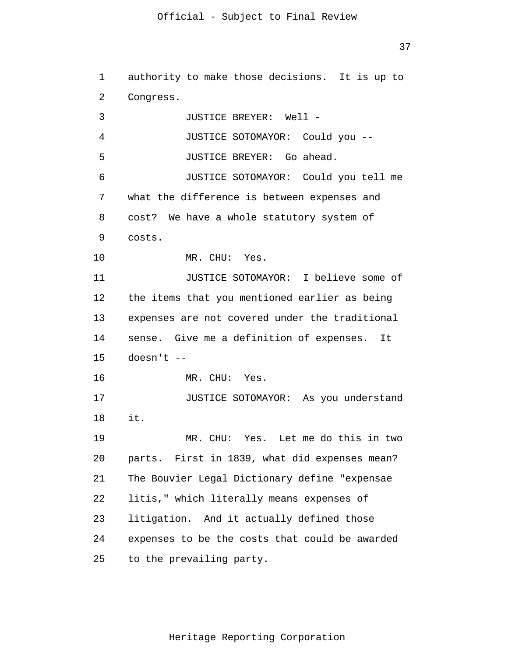37

1 2 3 4 5 6 7 8 9 10 11 12 13 14 15 16 17 18 19 20 21 22 23 24 25 authority to make those decisions. It is up to Congress. JUSTICE BREYER: Well - JUSTICE SOTOMAYOR: Could you -- JUSTICE BREYER: Go ahead. JUSTICE SOTOMAYOR: Could you tell me what the difference is between expenses and cost? We have a whole statutory system of costs. MR. CHU: Yes. JUSTICE SOTOMAYOR: I believe some of the items that you mentioned earlier as being expenses are not covered under the traditional sense. Give me a definition of expenses. It doesn't -- MR. CHU: Yes. JUSTICE SOTOMAYOR: As you understand it. MR. CHU: Yes. Let me do this in two parts. First in 1839, what did expenses mean? The Bouvier Legal Dictionary define "expensae litis," which literally means expenses of litigation. And it actually defined those expenses to be the costs that could be awarded to the prevailing party.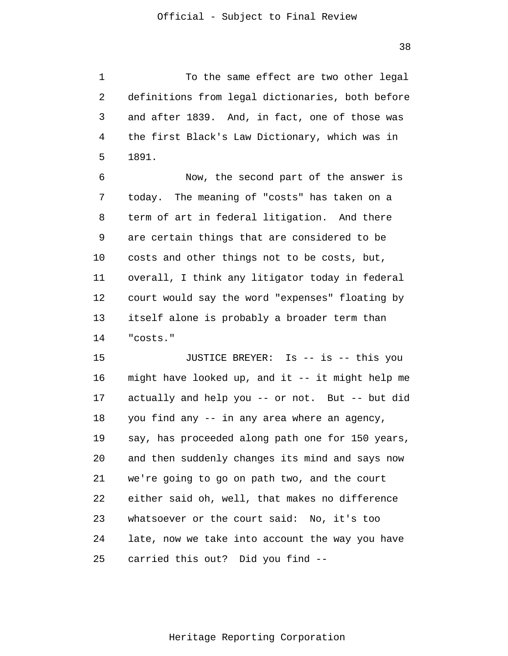1 2 3 4 5 To the same effect are two other legal definitions from legal dictionaries, both before and after 1839. And, in fact, one of those was the first Black's Law Dictionary, which was in 1891.

6 7 8 9 10 11 12 13 14 Now, the second part of the answer is today. The meaning of "costs" has taken on a term of art in federal litigation. And there are certain things that are considered to be costs and other things not to be costs, but, overall, I think any litigator today in federal court would say the word "expenses" floating by itself alone is probably a broader term than "costs."

15 16 17 18 19 20 21 22 23 24 25 JUSTICE BREYER: Is -- is -- this you might have looked up, and it -- it might help me actually and help you -- or not. But -- but did you find any -- in any area where an agency, say, has proceeded along path one for 150 years, and then suddenly changes its mind and says now we're going to go on path two, and the court either said oh, well, that makes no difference whatsoever or the court said: No, it's too late, now we take into account the way you have carried this out? Did you find --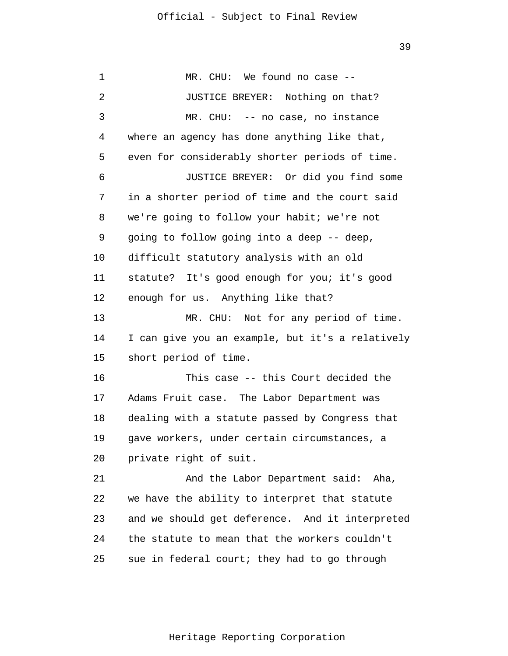1 2 3 4 5 6 7 8 9 10 11 12 13 14 15 16 17 18 19 20 21 22 23 24 25 MR. CHU: We found no case -- JUSTICE BREYER: Nothing on that? MR. CHU: -- no case, no instance where an agency has done anything like that, even for considerably shorter periods of time. JUSTICE BREYER: Or did you find some in a shorter period of time and the court said we're going to follow your habit; we're not going to follow going into a deep -- deep, difficult statutory analysis with an old statute? It's good enough for you; it's good enough for us. Anything like that? MR. CHU: Not for any period of time. I can give you an example, but it's a relatively short period of time. This case -- this Court decided the Adams Fruit case. The Labor Department was dealing with a statute passed by Congress that gave workers, under certain circumstances, a private right of suit. And the Labor Department said: Aha, we have the ability to interpret that statute and we should get deference. And it interpreted the statute to mean that the workers couldn't sue in federal court; they had to go through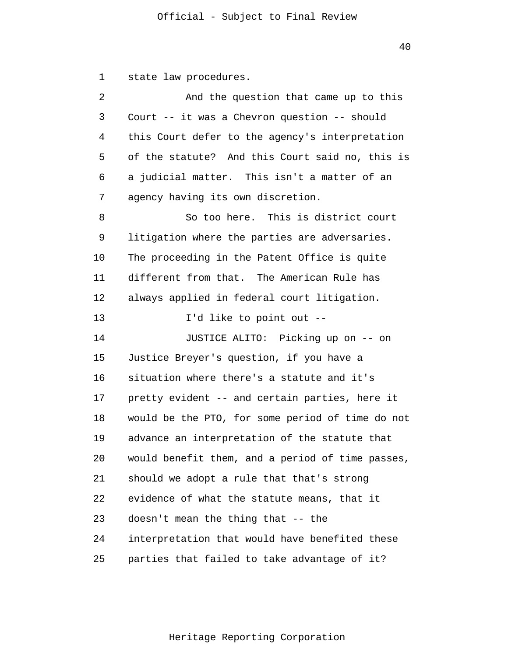1 state law procedures.

| 2  | And the question that came up to this            |
|----|--------------------------------------------------|
| 3  | Court -- it was a Chevron question -- should     |
| 4  | this Court defer to the agency's interpretation  |
| 5  | of the statute? And this Court said no, this is  |
| 6  | a judicial matter. This isn't a matter of an     |
| 7  | agency having its own discretion.                |
| 8  | So too here. This is district court              |
| 9  | litigation where the parties are adversaries.    |
| 10 | The proceeding in the Patent Office is quite     |
| 11 | different from that. The American Rule has       |
| 12 | always applied in federal court litigation.      |
| 13 | I'd like to point out --                         |
| 14 | JUSTICE ALITO: Picking up on -- on               |
| 15 | Justice Breyer's question, if you have a         |
| 16 | situation where there's a statute and it's       |
| 17 | pretty evident -- and certain parties, here it   |
| 18 | would be the PTO, for some period of time do not |
| 19 | advance an interpretation of the statute that    |
| 20 | would benefit them, and a period of time passes, |
| 21 | should we adopt a rule that that's strong        |
| 22 | evidence of what the statute means, that it      |
| 23 | doesn't mean the thing that -- the               |
| 24 | interpretation that would have benefited these   |
| 25 | parties that failed to take advantage of it?     |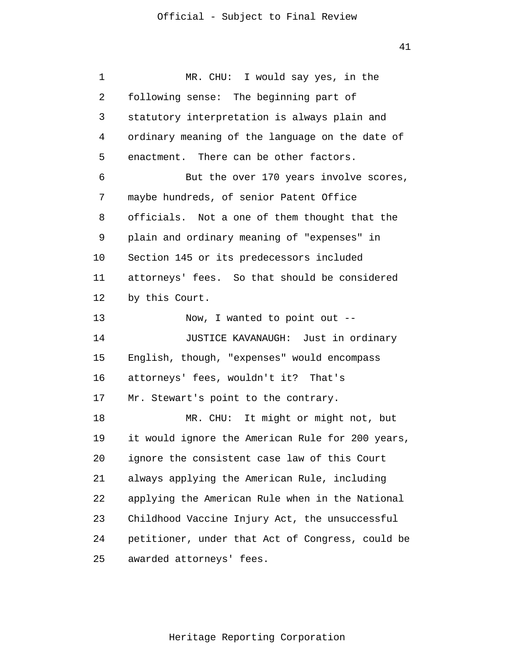1  $\overline{2}$ 3 4 5 6 7 8 9 10 11 12 13 14 15 16 17 18 19 20 21 22 23 24 25 MR. CHU: I would say yes, in the following sense: The beginning part of statutory interpretation is always plain and ordinary meaning of the language on the date of enactment. There can be other factors. But the over 170 years involve scores, maybe hundreds, of senior Patent Office officials. Not a one of them thought that the plain and ordinary meaning of "expenses" in Section 145 or its predecessors included attorneys' fees. So that should be considered by this Court. Now, I wanted to point out -- JUSTICE KAVANAUGH: Just in ordinary English, though, "expenses" would encompass attorneys' fees, wouldn't it? That's Mr. Stewart's point to the contrary. MR. CHU: It might or might not, but it would ignore the American Rule for 200 years, ignore the consistent case law of this Court always applying the American Rule, including applying the American Rule when in the National Childhood Vaccine Injury Act, the unsuccessful petitioner, under that Act of Congress, could be awarded attorneys' fees.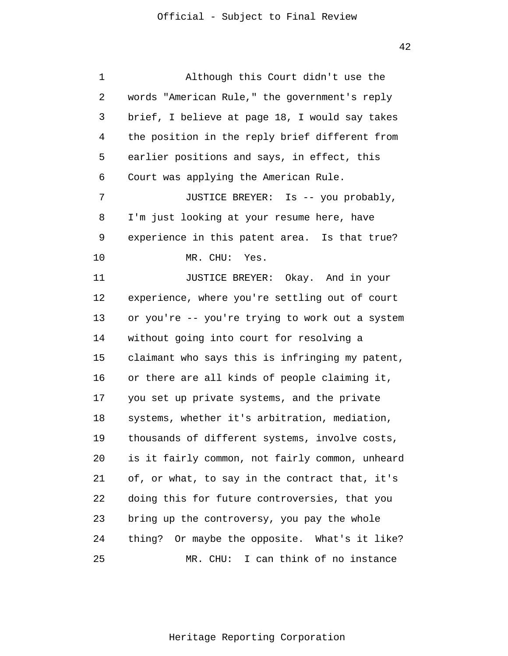| 1  | Although this Court didn't use the              |
|----|-------------------------------------------------|
| 2  | words "American Rule," the government's reply   |
| 3  | brief, I believe at page 18, I would say takes  |
| 4  | the position in the reply brief different from  |
| 5  | earlier positions and says, in effect, this     |
| 6  | Court was applying the American Rule.           |
| 7  | JUSTICE BREYER: Is -- you probably,             |
| 8  | I'm just looking at your resume here, have      |
| 9  | experience in this patent area. Is that true?   |
| 10 | MR. CHU: Yes.                                   |
| 11 | JUSTICE BREYER: Okay. And in your               |
| 12 | experience, where you're settling out of court  |
| 13 | or you're -- you're trying to work out a system |
| 14 | without going into court for resolving a        |
| 15 | claimant who says this is infringing my patent, |
| 16 | or there are all kinds of people claiming it,   |
| 17 | you set up private systems, and the private     |
| 18 | systems, whether it's arbitration, mediation,   |
| 19 | thousands of different systems, involve costs,  |
| 20 | is it fairly common, not fairly common, unheard |
| 21 | of, or what, to say in the contract that, it's  |
| 22 | doing this for future controversies, that you   |
| 23 | bring up the controversy, you pay the whole     |
| 24 | thing? Or maybe the opposite. What's it like?   |
| 25 | MR. CHU: I can think of no instance             |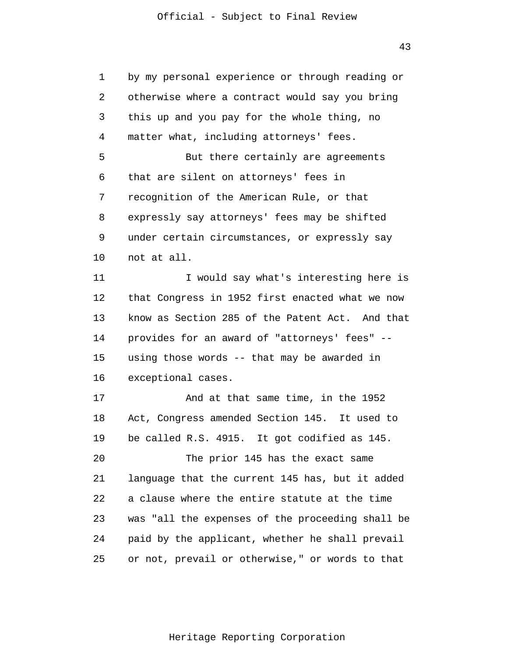43

| 1  | by my personal experience or through reading or  |  |  |  |
|----|--------------------------------------------------|--|--|--|
| 2  | otherwise where a contract would say you bring   |  |  |  |
| 3  | this up and you pay for the whole thing, no      |  |  |  |
| 4  | matter what, including attorneys' fees.          |  |  |  |
| 5  | But there certainly are agreements               |  |  |  |
| 6  | that are silent on attorneys' fees in            |  |  |  |
| 7  | recognition of the American Rule, or that        |  |  |  |
| 8  | expressly say attorneys' fees may be shifted     |  |  |  |
| 9  | under certain circumstances, or expressly say    |  |  |  |
| 10 | not at all.                                      |  |  |  |
| 11 | I would say what's interesting here is           |  |  |  |
| 12 | that Congress in 1952 first enacted what we now  |  |  |  |
| 13 | know as Section 285 of the Patent Act. And that  |  |  |  |
| 14 | provides for an award of "attorneys' fees" --    |  |  |  |
| 15 | using those words -- that may be awarded in      |  |  |  |
| 16 | exceptional cases.                               |  |  |  |
| 17 | And at that same time, in the 1952               |  |  |  |
| 18 | Act, Congress amended Section 145. It used to    |  |  |  |
| 19 | be called R.S. 4915. It got codified as 145.     |  |  |  |
| 20 | The prior 145 has the exact same                 |  |  |  |
| 21 | language that the current 145 has, but it added  |  |  |  |
| 22 | a clause where the entire statute at the time    |  |  |  |
| 23 | was "all the expenses of the proceeding shall be |  |  |  |
| 24 | paid by the applicant, whether he shall prevail  |  |  |  |
| 25 | or not, prevail or otherwise," or words to that  |  |  |  |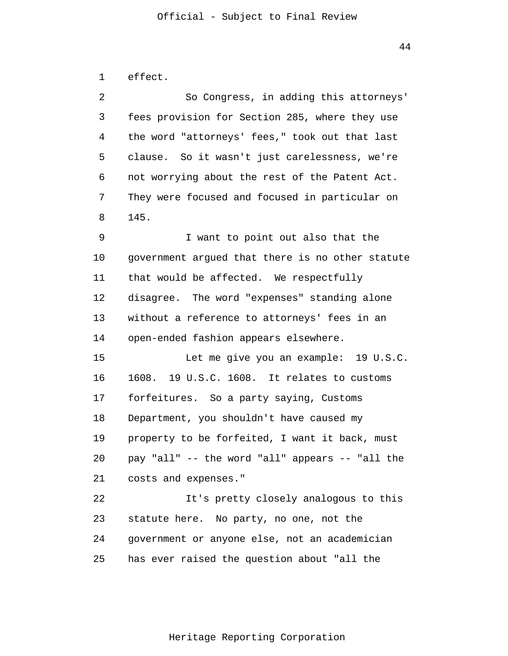```
1 
effect.
```

| 2  | So Congress, in adding this attorneys'           |
|----|--------------------------------------------------|
| 3  | fees provision for Section 285, where they use   |
| 4  | the word "attorneys' fees," took out that last   |
| 5  | clause. So it wasn't just carelessness, we're    |
| 6  | not worrying about the rest of the Patent Act.   |
| 7  | They were focused and focused in particular on   |
| 8  | 145.                                             |
| 9  | I want to point out also that the                |
| 10 | government argued that there is no other statute |
| 11 | that would be affected. We respectfully          |
| 12 | disagree. The word "expenses" standing alone     |
| 13 | without a reference to attorneys' fees in an     |
| 14 | open-ended fashion appears elsewhere.            |
| 15 | Let me give you an example: 19 U.S.C.            |
| 16 | 1608. 19 U.S.C. 1608. It relates to customs      |
| 17 | forfeitures. So a party saying, Customs          |
| 18 | Department, you shouldn't have caused my         |
| 19 | property to be forfeited, I want it back, must   |
| 20 | pay "all" -- the word "all" appears -- "all the  |
| 21 | costs and expenses."                             |
| 22 | It's pretty closely analogous to this            |
| 23 | statute here. No party, no one, not the          |
| 24 | government or anyone else, not an academician    |
| 25 | has ever raised the question about "all the      |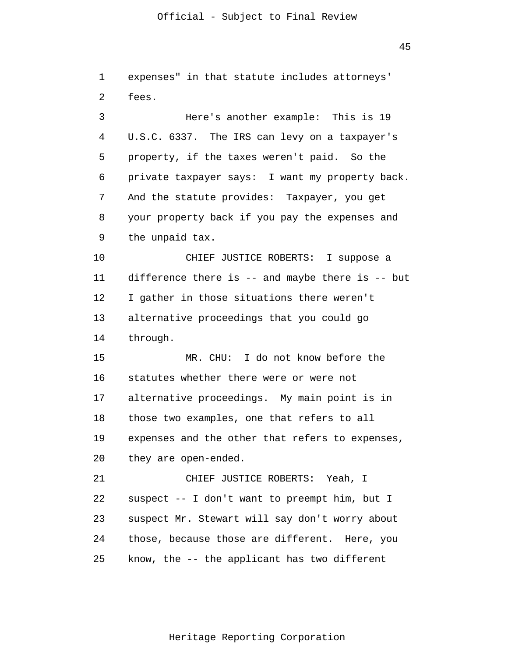45

1  $\overline{2}$ 3 4 5 6 7 8 9 10 11 12 13 14 15 16 17 18 19 20 21 22 23 24 25 expenses" in that statute includes attorneys' fees. Here's another example: This is 19 U.S.C. 6337. The IRS can levy on a taxpayer's property, if the taxes weren't paid. So the private taxpayer says: I want my property back. And the statute provides: Taxpayer, you get your property back if you pay the expenses and the unpaid tax. CHIEF JUSTICE ROBERTS: I suppose a difference there is -- and maybe there is -- but I gather in those situations there weren't alternative proceedings that you could go through. MR. CHU: I do not know before the statutes whether there were or were not alternative proceedings. My main point is in those two examples, one that refers to all expenses and the other that refers to expenses, they are open-ended. CHIEF JUSTICE ROBERTS: Yeah, I suspect -- I don't want to preempt him, but I suspect Mr. Stewart will say don't worry about those, because those are different. Here, you know, the -- the applicant has two different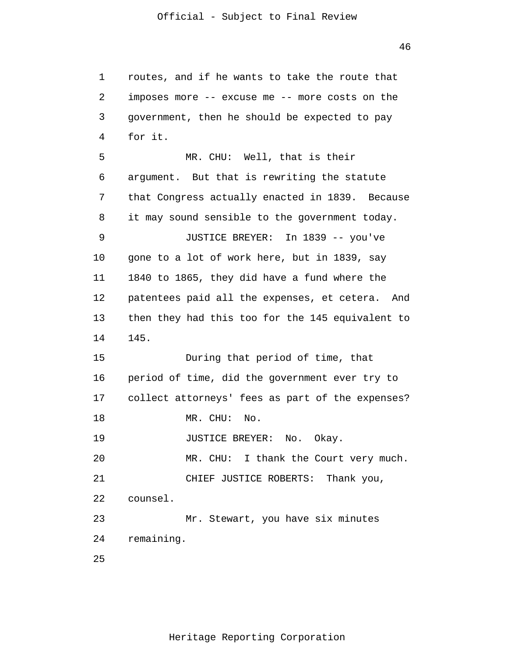1 2 3 4 5 6 7 8 9 10 11 12 13 14 15 16 17 18 19 20 21 22 23 24 25 routes, and if he wants to take the route that imposes more -- excuse me -- more costs on the government, then he should be expected to pay for it. MR. CHU: Well, that is their argument. But that is rewriting the statute that Congress actually enacted in 1839. Because it may sound sensible to the government today. JUSTICE BREYER: In 1839 -- you've gone to a lot of work here, but in 1839, say 1840 to 1865, they did have a fund where the patentees paid all the expenses, et cetera. And then they had this too for the 145 equivalent to 145. During that period of time, that period of time, did the government ever try to collect attorneys' fees as part of the expenses? MR. CHU: No. JUSTICE BREYER: No. Okay. MR. CHU: I thank the Court very much. CHIEF JUSTICE ROBERTS: Thank you, counsel. Mr. Stewart, you have six minutes remaining.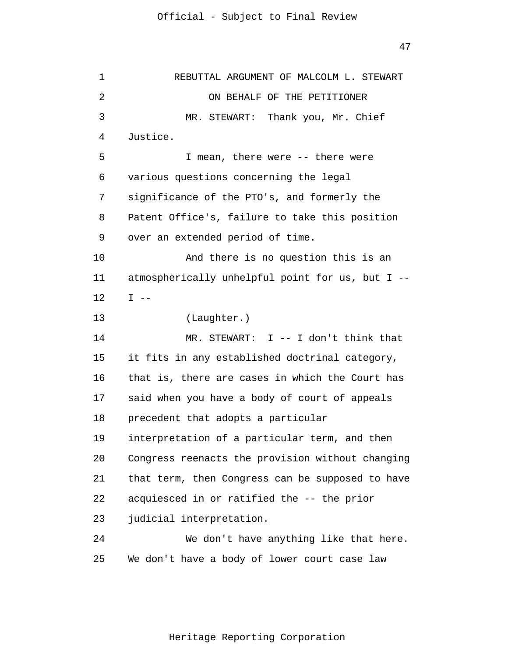47

1  $\overline{2}$ 3 4 5 6 7 8 9 10 11 12 13 14 15 16 17 18 19 20 21 22 23 24 25 REBUTTAL ARGUMENT OF MALCOLM L. STEWART ON BEHALF OF THE PETITIONER MR. STEWART: Thank you, Mr. Chief Justice. I mean, there were -- there were various questions concerning the legal significance of the PTO's, and formerly the Patent Office's, failure to take this position over an extended period of time. And there is no question this is an atmospherically unhelpful point for us, but I --  $I$   $-$ (Laughter.) MR. STEWART: I -- I don't think that it fits in any established doctrinal category, that is, there are cases in which the Court has said when you have a body of court of appeals precedent that adopts a particular interpretation of a particular term, and then Congress reenacts the provision without changing that term, then Congress can be supposed to have acquiesced in or ratified the -- the prior judicial interpretation. We don't have anything like that here. We don't have a body of lower court case law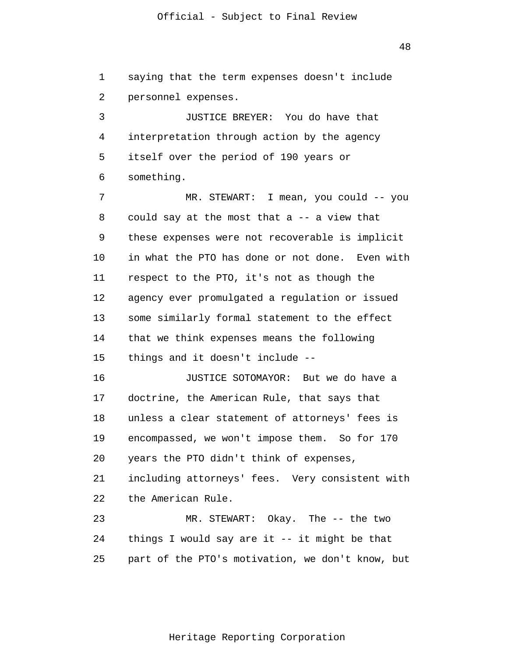1 2 saying that the term expenses doesn't include personnel expenses.

3 4 5 6 JUSTICE BREYER: You do have that interpretation through action by the agency itself over the period of 190 years or something.

7 8 9 10 11 12 13 14 15 MR. STEWART: I mean, you could -- you could say at the most that a -- a view that these expenses were not recoverable is implicit in what the PTO has done or not done. Even with respect to the PTO, it's not as though the agency ever promulgated a regulation or issued some similarly formal statement to the effect that we think expenses means the following things and it doesn't include --

16 17 18 19 20 21 22 23 JUSTICE SOTOMAYOR: But we do have a doctrine, the American Rule, that says that unless a clear statement of attorneys' fees is encompassed, we won't impose them. So for 170 years the PTO didn't think of expenses, including attorneys' fees. Very consistent with the American Rule. MR. STEWART: Okay. The -- the two

24 25 things I would say are it -- it might be that part of the PTO's motivation, we don't know, but

48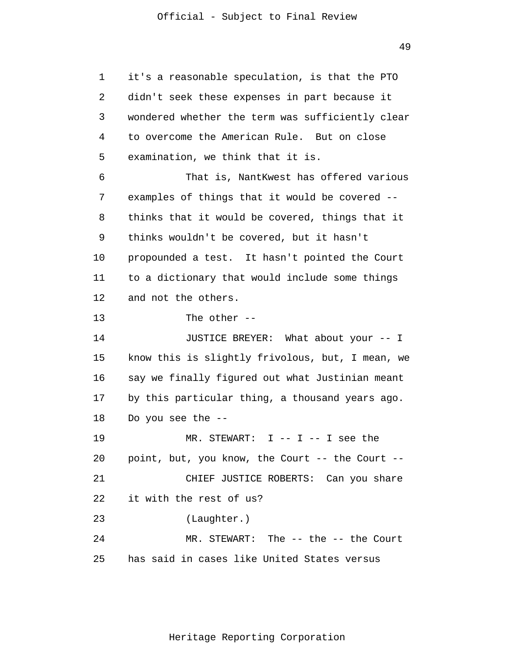49

1  $\overline{2}$ 3 4 5 6 7 8 9 10 11 12 13 14 15 16 17 18 19 20 21 22 23 24 25 it's a reasonable speculation, is that the PTO didn't seek these expenses in part because it wondered whether the term was sufficiently clear to overcome the American Rule. But on close examination, we think that it is. That is, NantKwest has offered various examples of things that it would be covered - thinks that it would be covered, things that it thinks wouldn't be covered, but it hasn't propounded a test. It hasn't pointed the Court to a dictionary that would include some things and not the others. The other -- JUSTICE BREYER: What about your -- I know this is slightly frivolous, but, I mean, we say we finally figured out what Justinian meant by this particular thing, a thousand years ago. Do you see the -- MR. STEWART:  $I$  --  $I$  --  $I$  see the point, but, you know, the Court -- the Court -- CHIEF JUSTICE ROBERTS: Can you share it with the rest of us? (Laughter.) MR. STEWART: The -- the -- the Court has said in cases like United States versus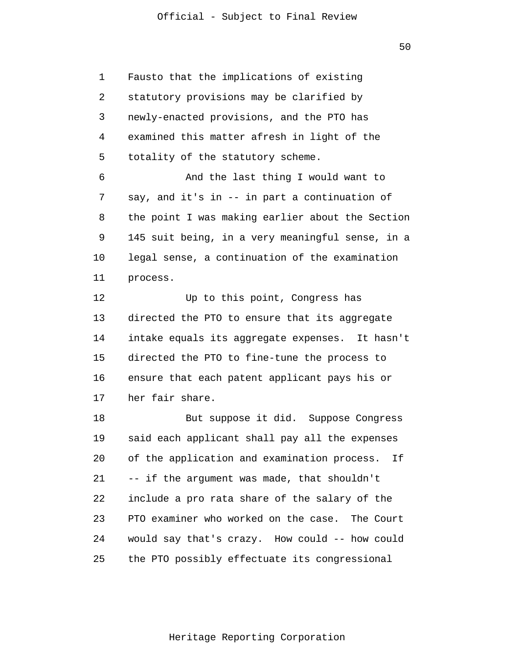1 3 4 Fausto that the implications of existing statutory provisions may be clarified by newly-enacted provisions, and the PTO has examined this matter afresh in light of the totality of the statutory scheme.

 $\overline{2}$ 

5

6 7 8 9 10 11 And the last thing I would want to say, and it's in -- in part a continuation of the point I was making earlier about the Section 145 suit being, in a very meaningful sense, in a legal sense, a continuation of the examination process.

12 13 14 15 16 17 Up to this point, Congress has directed the PTO to ensure that its aggregate intake equals its aggregate expenses. It hasn't directed the PTO to fine-tune the process to ensure that each patent applicant pays his or her fair share.

18 19 20 21 22 23 24 25 But suppose it did. Suppose Congress said each applicant shall pay all the expenses of the application and examination process. If -- if the argument was made, that shouldn't include a pro rata share of the salary of the PTO examiner who worked on the case. The Court would say that's crazy. How could -- how could the PTO possibly effectuate its congressional

50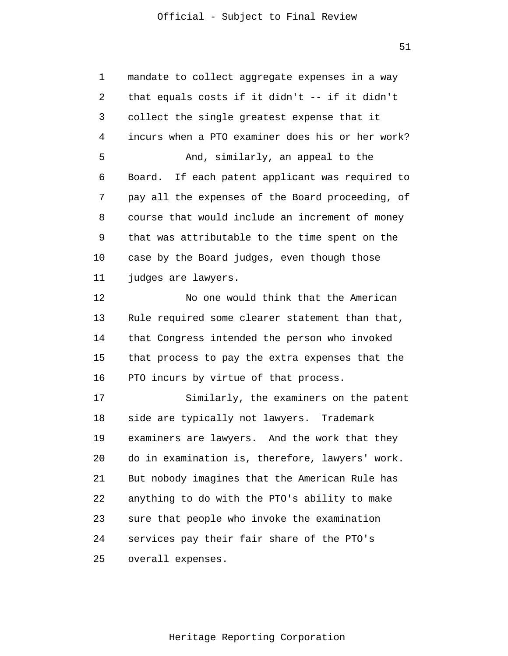51

1 2 3 4 5 6 7 8 9 10 11 12 13 14 15 16 17 18 19 20 21 22 23 24 25 mandate to collect aggregate expenses in a way that equals costs if it didn't -- if it didn't collect the single greatest expense that it incurs when a PTO examiner does his or her work? And, similarly, an appeal to the Board. If each patent applicant was required to pay all the expenses of the Board proceeding, of course that would include an increment of money that was attributable to the time spent on the case by the Board judges, even though those judges are lawyers. No one would think that the American Rule required some clearer statement than that, that Congress intended the person who invoked that process to pay the extra expenses that the PTO incurs by virtue of that process. Similarly, the examiners on the patent side are typically not lawyers. Trademark examiners are lawyers. And the work that they do in examination is, therefore, lawyers' work. But nobody imagines that the American Rule has anything to do with the PTO's ability to make sure that people who invoke the examination services pay their fair share of the PTO's overall expenses.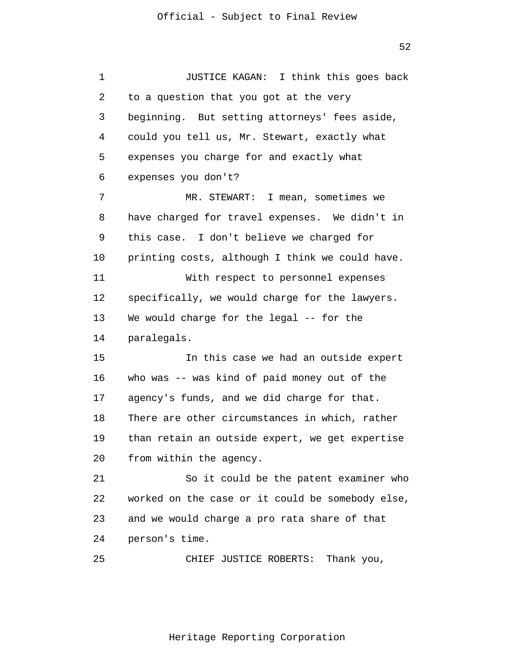1 2 3 4 5 6 7 8 9 10 11 12 13 14 15 16 17 18 19 20 21 22 23 24 25 JUSTICE KAGAN: I think this goes back to a question that you got at the very beginning. But setting attorneys' fees aside, could you tell us, Mr. Stewart, exactly what expenses you charge for and exactly what expenses you don't? MR. STEWART: I mean, sometimes we have charged for travel expenses. We didn't in this case. I don't believe we charged for printing costs, although I think we could have. With respect to personnel expenses specifically, we would charge for the lawyers. We would charge for the legal -- for the paralegals. In this case we had an outside expert who was -- was kind of paid money out of the agency's funds, and we did charge for that. There are other circumstances in which, rather than retain an outside expert, we get expertise from within the agency. So it could be the patent examiner who worked on the case or it could be somebody else, and we would charge a pro rata share of that person's time. CHIEF JUSTICE ROBERTS: Thank you,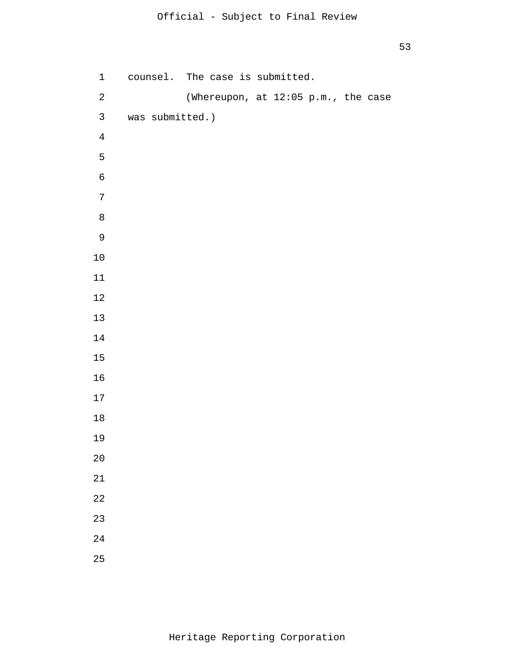```
1 
 2 
 3 
 4
 5
 6
 7
 8
 9
10
11
12
13
14
15
16
17
18
19
20
21
22
23
24
25
      counsel. The case is submitted. 
                 (Whereupon, at 12:05 p.m., the case 
      was submitted.)
```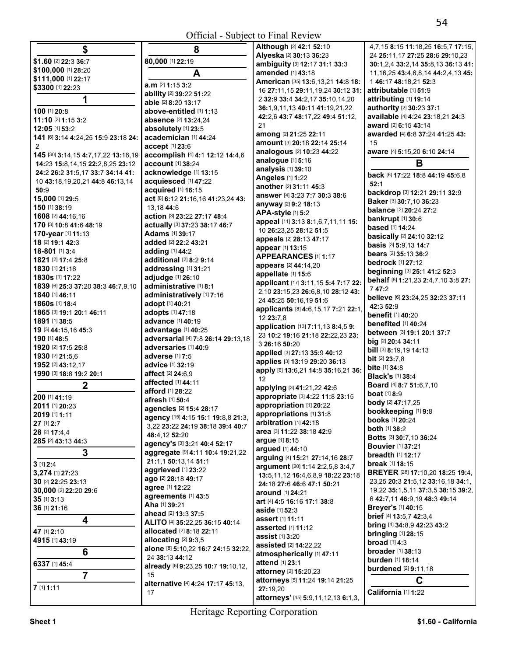| \$                                  | 8                                                 | Although [2] 42:1 52:10                                    | 4,7,15 8:15 11:18,25 16:5,7 17:15           |
|-------------------------------------|---------------------------------------------------|------------------------------------------------------------|---------------------------------------------|
| \$1.60 [2] 22:3 36:7                | 80,000 [1] 22:19                                  | Alyeska [2] 30:13 36:23                                    | 24 25:11,17 27:25 28:6 29:10,23             |
| \$100,000 [1] 28:20                 |                                                   | ambiguity [3] 12:17 31:1 33:3                              | 30:1,2,4 33:2,14 35:8,13 36:13 41:          |
| \$111,000 [1] 22:17                 | A                                                 | amended [1] 43:18                                          | 11, 16, 25 43: 4, 6, 8, 14 44: 2, 4, 13 45: |
| \$3300 [1] 22:23                    | a.m [2] 1:15 3:2                                  | American [35] 13:6, 13, 21 14:8 18:                        | 146:1748:18,2152:3                          |
|                                     | ability [2] 39:22 51:22                           | 16 27:11,15 29:11,19,24 30:12 31:                          | attributable [1] 51:9                       |
| 1                                   | able [2] 8:20 13:17                               | 2 32:9 33:4 34:2,17 35:10,14,20                            | attributing [1] 19:14                       |
| 100 [1] 20:8                        | above-entitled [1] 1:13                           | 36:1,9,11,13 40:11 41:19,21,22                             | authority [2] 30:23 37:1                    |
| 11:10 [2] 1:15 3:2                  | <b>absence</b> [2] 13:24,24                       | 42:2,6 43:7 48:17,22 49:4 51:12,                           | available [4] 4:24 23:18,21 24:3            |
| 12:05 [1] 53:2                      | absolutely [1] 23:5                               | 21                                                         | award [2] 6:15 43:14                        |
| 141 [6] 3:14 4:24,25 15:9 23:18 24: | academician [1] 44:24                             | among [2] 21:25 22:11                                      | awarded [4] 6:8 37:24 41:25 43:             |
| $\overline{2}$                      | accept [1] 23:6                                   | amount [3] 20:18 22:14 25:14                               | 15                                          |
| 145 [30] 3:14,15 4:7,17,22 13:16,19 | accomplish [4] 4:1 12:12 14:4,6                   | analogous [2] 10:23 44:22                                  | aware [4] 5:15,20 6:10 24:14                |
| 14:23 15:8,14,15 22:2,8,25 23:12    | account [1] 38:24                                 | analogue [1] 5:16                                          | B                                           |
| 24:2 26:2 31:5,17 33:7 34:14 41:    | acknowledge [1] 13:15                             | analysis [1] 39:10                                         | back [6] 17:22 18:8 44:19 45:6,8            |
| 10 43:18,19,20,21 44:8 46:13,14     | acquiesced [1] 47:22                              | <b>Angeles [1] 1:22</b>                                    | 52:1                                        |
| 50:9                                | acquired [1] 16:15                                | another [2] 31:11 45:3                                     | backdrop [3] 12:21 29:11 32:9               |
| 15,000 [1] 29:5                     | act [8] 6:12 21:16,16 41:23,24 43:                | answer [4] 3:23 7:7 30:3 38:6                              | Baker [3] 30:7,10 36:23                     |
| 150 [1] 38:19                       | 13,18 44:6                                        | anyway [2] 9:2 18:13                                       | <b>balance</b> [2] 20:24 27:2               |
| 1608 [2] 44:16,16                   | action [3] 23:22 27:17 48:4                       | APA-style [1] 5:2                                          | bankrupt [1] 30:6                           |
| 170 [3] 10:8 41:6 48:19             | actually [3] 37:23 38:17 46:7                     | appeal [11] 3:13 8:1,6,7,11,11 15:                         | <b>based</b> [1] <b>14:24</b>               |
| 170-year [1] 11:13                  | <b>Adams</b> [1] 39:17                            | 10 26:23,25 28:12 51:5                                     | basically [2] 24:10 32:12                   |
| 18 [2] 19:1 42:3                    | added [2] 22:2 43:21                              | appeals [2] 28:13 47:17                                    | basis [3] 5:9,13 14:7                       |
| 18-801 [1] 3:4                      | adding [1] 44:2                                   | appear [1] 13:15                                           | bears [2] 35:13 36:2                        |
| 1821 [2] 17:4 25:8                  | additional [2] 8:2 9:14                           | APPEARANCES [1] 1:17                                       | <b>bedrock [1] 27:12</b>                    |
| 1830 [1] 21:16                      | addressing [1] 31:21                              | appears [2] 44:14,20                                       | beginning [3] 25:1 41:2 52:3                |
| 1830s [1] 17:22                     | adjudge [1] 26:10                                 | appellate [1] 15:6<br>applicant [17] 3:11, 15 5:4 7:17 22: | behalf [8] 1:21,23 2:4,7,10 3:8 27:         |
| 1839 [6] 25:3 37:20 38:3 46:7,9,10  | administrative [1] 8:1                            | 2,10 23:15,23 26:6,8,10 28:12 43:                          | 7 47:2                                      |
| 1840 [1] 46:11                      | administratively [1] 7:16                         | 24 45:25 50:16,19 51:6                                     | believe [6] 23:24,25 32:23 37:11            |
| 1860s [1] 18:4                      | adopt [1] 40:21                                   | applicants [8] 4:6,15,17 7:21 22:1,                        | 42:3 52:9                                   |
| 1865 [3] 19:1 20:1 46:11            | adopts [1] 47:18                                  | 12 23:7,8                                                  | benefit [1] 40:20                           |
| 1891 [1] 38:5                       | advance [1] 40:19                                 | application [13] 7:11,13 8:4,5 9:                          | benefited [1] 40:24                         |
| 19 [3] 44:15,16 45:3                | advantage [1] 40:25                               | 23 10:2 19:16 21:18 22:22,23 23:                           | between [3] 19:1 20:1 37:7                  |
| 190 [1] 48:5                        | adversarial [4] 7:8 26:14 29:13,18                | 3 26:16 50:20                                              | big [2] 20:4 34:11                          |
| 1920 [2] 17:5 25:8                  | adversaries [1] 40:9                              | applied [3] 27:13 35:9 40:12                               | bill [3] 8:19,19 14:13                      |
| 1930 [2] 21:5.6                     | adverse [1] 7:5                                   | applies [3] 13:19 29:20 36:13                              | <b>bit</b> [2] 23:7,8                       |
| 1952 [2] 43:12,17                   | <b>advice</b> [1] <b>32:19</b>                    | apply [6] 13:6,21 14:8 35:16,21 36:                        | <b>bite</b> [1] 34:8                        |
| 1990 [3] 18:8 19:2 20:1             | affect [2] 24:6,9                                 | 12                                                         | <b>Black's [1] 38:4</b>                     |
| $\mathbf 2$                         | <b>affected</b> [1] 44:11                         | applying [3] 41:21,22 42:6                                 | <b>Board</b> [4] 8:7 51:6,7,10              |
| 200 [1] 41:19                       | afford [1] 28:22                                  | appropriate [3] 4:22 11:8 23:15                            | <b>boat</b> [1] 8:9                         |
| 2011 [1] 20:23                      | afresh [1] 50:4                                   | appropriation [1] 20:22                                    | body [2] 47:17,25                           |
| 2019 [1] 1:11                       | agencies [2] 15:4 28:17                           | appropriations [1] 31:8                                    | bookkeeping [1] 9:8                         |
| 27 [1] 2:7                          | agency [15] 4:15 15:1 19:8,8 21:3,                | arbitration [1] 42:18                                      | books [1] 20:24                             |
| 28 [2] 17:4,4                       | 3,22 23:22 24:19 38:18 39:4 40:7<br>48:4,12 52:20 | area [3] 11:22 38:18 42:9                                  | <b>both</b> [1] 38:2                        |
| 285 [2] 43:13 44:3                  | agency's [3] 3:21 40:4 52:17                      | argue [1] 8:15                                             | Botts [3] 30:7,10 36:24                     |
| 3                                   | aggregate [9] 4:11 10:4 19:21,22                  | argued [1] 44:10                                           | <b>Bouvier</b> [1] 37:21                    |
|                                     | 21:1,1 50:13,14 51:1                              | arguing [4] 15:21 27:14,16 28:7                            | <b>breadth</b> [1] 12:17                    |
| $3$ [1] $2:4$                       | aggrieved [1] 23:22                               | argument [20] 1:14 2:2,5,8 3:4,7                           | break [1] 18:15                             |
| 3,274 [1] 27:23                     | ago [2] 28:18 49:17                               | 13:5, 11, 12 16:4, 6, 8, 9 18: 22 23: 18                   | BREYER [28] 17:10,20 18:25 19:4,            |
| 30 [2] 22:25 23:13                  | agree [1] 12:22                                   | 24:18 27:6 46:6 47:1 50:21                                 | 23,25 20:3 21:5,12 33:16,18 34:1,           |
| 30,000 [2] 22:20 29:6               | agreements [1] 43:5                               | around [1] 24:21                                           | 19,22 35:1,5,11 37:3,5 38:15 39:2,          |
| 35 [1] 3:13                         | Aha [1] 39:21                                     | art [4] 4:5 16:16 17:1 38:8                                | 6 42:7,11 46:9,19 48:3 49:14                |
| 36 [1] 21:16                        | ahead [2] 13:3 37:5                               | aside [1] 52:3                                             | Breyer's [1] 40:15                          |
| 4                                   | ALITO [4] 35:22,25 36:15 40:14                    | assert [1] 11:11                                           | brief [4] 13:5,7 42:3,4                     |
| 47 [1] 2:10                         | allocated [2] 8:18 22:11                          | asserted [1] 11:12                                         | bring [4] 34:8,9 42:23 43:2                 |
| 4915 [1] 43:19                      | allocating $[2]$ 9:3,5                            | assist $[1]$ 3:20                                          | <b>bringing</b> [1] 28:15                   |
|                                     | alone [8] 5:10,22 16:7 24:15 32:22,               | assisted [2] 14:22,22                                      | broad $[1]$ 4:3                             |
| 6                                   | 24 38:13 44:12                                    | atmospherically [1] 47:11                                  | <b>broader</b> [1] 38:13                    |
| 6337 [1] 45:4                       | already [6] 9:23,25 10:7 19:10,12,                | attend [1] 23:1                                            | burden [1] 18:14                            |
| $\overline{7}$                      | 15                                                | attorney [2] 15:20,23                                      | <b>burdened</b> [2] 9:11,18                 |
|                                     | alternative [4] 4:24 17:17 45:13.                 | attorneys [5] 11:24 19:14 21:25                            | C                                           |
| $7$ [1] 1:11                        | 17                                                | 27:19,20                                                   | California [1] 1:22                         |
|                                     |                                                   |                                                            |                                             |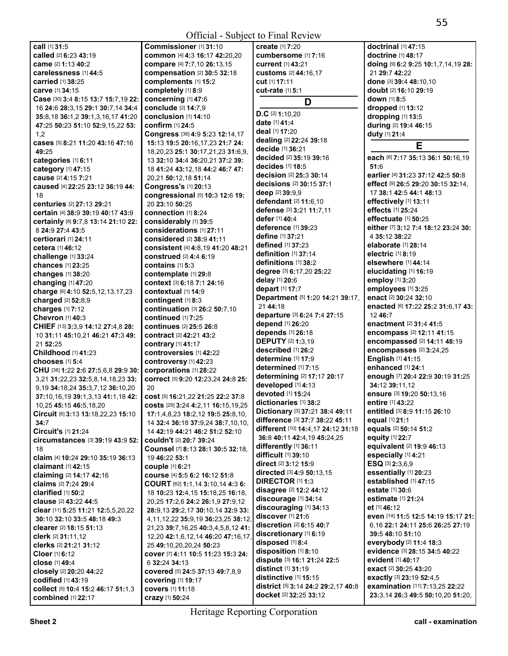**call** [1] **31:**5 **called** [2] **6:**23 **43:**19 **came** [2] **1:**13 **40:**2 **carelessness** [1] **44:**5 **carried** [1] **38:**25 **carve** [1] **34:**15 **Case** [30] **3:**4 **8:**15 **13:**7 **15:**7,19 **22:**  16 **24:**6 **28:**3,15 **29:**1 **30:**7,14 **34:**4 **35:**8,18 **36:**1,2 **39:**1,3,16,17 **41:**20 **47:**25 **50:**23 **51:**10 **52:**9,15,22 **53:**  1,2 **cases** [5] **8:**21 **11:**20 **43:**16 **47:**16 **49:**25 **categories** [1] **6:**11 **category** [1] **47:**15 **cause** [2] **4:**15 **7:**21 **caused** [4] **22:**25 **23:**12 **36:**19 **44:**  18 **centuries** [2] **27:**13 **29:**21 **certain** [4] **38:**9 **39:**19 **40:**17 **43:**9 **certainly** [8] **9:**7,8 **13:**14 **21:**10 **22:**  8 **24:**9 **27:**4 **43:**5 **certiorari** [1] **24:**11 **cetera** [1] **46:**12 **challenge** [1] **33:**24 **chances** [1] **23:**25 **changes** [1] **38:**20 **changing** [1] **47:**20 **charge** [6] **4:**10 **52:**5,12,13,17,23 **charged** [2] **52:**8,9 **charges** [1] **7:**12 **Chevron** [1] **40:**3 **CHIEF** [13] **3:**3,9 **14:**12 **27:**4,8 **28:**  10 **31:**11 **45:**10,21 **46:**21 **47:**3 **49:**  21 **52:**25 **Childhood** [1] **41:**23 **chooses** [1] **5:**4 **CHU** [38] **1:**22 **2:**6 **27:**5,6,8 **29:**9 **30:**  3,21 **31:**22,23 **32:**5,8,14,18,23 **33:**  9,19 **34:**18,24 **35:**3,7,12 **36:**10,20 **37:**10,16,19 **39:**1,3,13 **41:**1,18 **42:**  10,25 **45:**15 **46:**5,18,20 **Circuit** [6] **3:**13 **13:**18,22,23 **15:**10 **34:**7 **Circuit's** [1] **21:**24 **circumstances** [3] **39:**19 **43:**9 **52:**  18 **claim** [4] **10:**24 **29:**10 **35:**19 **36:**13 **claimant** [1] **42:**15 **claiming** [2] **14:**17 **42:**16 **claims** [2] **7:**24 **29:**4 **clarified** [1] **50:**2 **clause** [2] **43:**22 **44:**5 **clear** [11] **5:**25 **11:**21 **12:**5,5,20,22 **30:**10 **32:**10 **33:**5 **48:**18 **49:**3 **clearer** [2] **18:**15 **51:**13 **clerk** [2] **31:**11,12 **clerks** [2] **21:**21 **31:**12 **Cloer** [1] **6:**12 **close** [1] **49:**4 **closely** [2] **20:**20 **44:**22 **codified** [1] **43:**19 **collect** [5] **10:**4 **15:**2 **46:**17 **51:**1,3 **combined** [1] **22:**17

**Commissioner** [1] **31:**10 **common** [4] **4:**3 **16:**17 **42:**20,20 **compare** [4] **7:**7,10 **26:**13,15 **compensation** [2] **30:**5 **32:**18 **complements** [1] **15:**2 **completely** [1] **8:**9 **concerning** [1] **47:**6 **conclude** [2] **14:**7,9 **conclusion** [1] **14:**10 **confirm** [1] **24:**5 **Congress** [36] **4:**9 **5:**23 **12:**14,17 **15:**13 **19:**5 **20:**16,17,23 **21:**7 **24:**  18,20,23 **25:**1 **30:**17,21,23 **31:**6,9, 13 **32:**10 **34:**4 **36:**20,21 **37:**2 **39:**  18 **41:**24 **43:**12,18 **44:**2 **46:**7 **47:**  20,21 **50:**12,18 **51:**14 **Congress's** [1] **20:**13 **congressional** [5] **10:**3 **12:**6 **19:**  20 **23:**10 **50:**25 **connection** [1] **8:**24 **considerably** [1] **39:**5 **considerations** [1] **27:**11 **considered** [2] **38:**9 **41:**11 **consistent** [4] **4:**8,19 **41:**20 **48:**21 **construed** [2] **4:**4 **6:**19 **contains** [1] **5:**3 **contemplate** [1] **29:**8 **context** [3] **6:**18 **7:**1 **24:**16 **contextual** [1] **14:**9 **contingent** [1] **8:**3 **continuation** [3] **26:**2 **50:**7,10 **continued** [1] **7:**25 **continues** [2] **25:**5 **26:**8 **contract** [2] **42:**21 **43:**2 **contrary** [1] **41:**17 **controversies** [1] **42:**22 **controversy** [1] **42:**23 **corporations** [1] **28:**22 **correct** [5] **9:**20 **12:**23,24 **24:**8 **25:**   $20$ **cost** [5] **16:**21,22 **21:**25 **22:**2 **37:**8 **costs** [29] **3:**24 **4:**2,11 **16:**15,19,25 **17:**1,4,8,23 **18:**2,12 **19:**5 **25:**8,10, 14 **32:**4 **36:**18 **37:**9,24 **38:**7,10,10, 14 **42:**19 **44:**21 **46:**2 **51:**2 **52:**10 **couldn't** [2] **20:**7 **39:**24 **Counsel** [7] **8:**13 **28:**1 **30:**5 **32:**18, 19 **46:**22 **53:**1 **couple** [1] **6:**21 **course** [4] **5:**5 **6:**2 **16:**12 **51:**8 **COURT** [62] **1:**1,14 **3:**10,14 **4:**3 **6:**  18 **10:**23 **12:**4,15 **15:**18,25 **16:**18, 20,25 **17:**2,6 **24:**2 **26:**1,9 **27:**9,12 **28:**9,13 **29:**2,17 **30:**10,14 **32:**9 **33:**  4,11,12,22 **35:**9,19 **36:**23,25 **38:**12, 21,23 **39:**7,16,25 **40:**3,4,5,8,12 **41:**  12,20 **42:**1,6,12,14 **46:**20 **47:**16,17, 25 **49:**10,20,20,24 **50:**23 **cover** [7] **4:**11 **10:**5 **11:**23 **15:**3 **24:**  6 **32:**24 **34:**13 **covered** [5] **24:**5 **37:**13 **49:**7,8,9 **covering** [1] **19:**17 **covers** [1] **11:**18 **crazy** [1] **50:**24

**create** [1] **7:**20 **cumbersome** [1] **7:**16 **current** [1] **43:**21 **customs** [2] **44:**16,17 **cut** [1] **17:**11 **cut-rate** [1] **5:**1 **D D.C** [2] **1:**10,20 **date** [1] **41:**4 **deal** [1] **17:**20 **dealing** [2] **22:**24 **39:**18 **decide** [1] **36:**21 **decided** [2] **35:**19 **39:**16 **decides** [1] **18:**5 **decision** [2] **25:**3 **30:**14 **decisions** [2] **30:**15 **37:**1 **deep** [2] **39:**9,9 **defendant** [2] **11:**6,10 **defense** [3] **3:**21 **11:**7,11 **defer** [1] **40:**4 **deference** [1] **39:**23 **define** [1] **37:**21 **defined** [1] **37:**23 **definition** [1] **37:**14 **definitions** [1] **38:**2 **degree** [3] **6:**17,20 **25:**22 **delay** [1] **20:**6 **depart** [1] **17:**7 **Department** [5] **1:**20 **14:**21 **39:**17, 21 **44:**18 **departure** [3] **6:**24 **7:**4 **27:**15 **depend** [1] **26:**20 **depends** [1] **26:**18 **DEPUTY** [2] **1:**3,19 **described** [1] **26:**2 **determine** [1] **17:**9 **determined** [1] **7:**15 **determining** [2] **17:**17 **20:**17 **developed** [1] **4:**13 **devoted** [1] **15:**24 **dictionaries** [1] **38:**2 **Dictionary** [3] **37:**21 **38:**4 **49:**11 **difference** [3] **37:**7 **38:**22 **45:**11 **different** [10] **14:**4,17 **24:**12 **31:**18 **36:**8 **40:**11 **42:**4,19 **45:**24,25 **differently** [1] **36:**11 **difficult** [1] **39:**10 **direct** [2] **3:**12 **15:**9 **directed** [3] **4:**9 **50:**13,15 **DIRECTOR** [1] **1:**3 **disagree** [2] **12:**2 **44:**12 **discourage** [1] **34:**14 **discouraging** [1] **34:**13 **discover** [1] **21:**6 **discretion** [2] **6:**15 **40:**7 **discretionary** [1] **6:**19 **disposed** [1] **8:**4 **disposition** [1] **8:**10 **dispute** [3] **16:**1 **21:**24 **22:**5 **distinct** [1] **31:**19 **distinctive** [1] **15:**15 **district** [5] **3:**14 **24:**2 **29:**2,17 **40:**8 **docket** [2] **32:**25 **33:**12

**doctrinal** [1] **47:**15 **doctrine** [1] **48:**17 **doing** [9] **6:**2 **9:**25 **10:**1,7,14,19 **28:**  21 **29:**7 **42:**22 **done** [3] **39:**4 **48:**10,10 **doubt** [2] **16:**10 **29:**19 **down** [1] **8:**5 **dropped** [1] **13:**12 **dropping** [1] **13:**5 **during** [2] **19:**4 **46:**15 **duty** [1] **21:**4 **E each** [6] **7:**17 **35:**13 **36:**1 **50:**16,19 **51:**6 **earlier** [4] **31:**23 **37:**12 **42:**5 **50:**8 **effect** [9] **26:**5 **29:**20 **30:**15 **32:**14, 17 **38:**1 **42:**5 **44:**1 **48:**13 **effectively** [1] **13:**11 **effects** [1] **25:**24 **effectuate** [1] **50:**25 **either** [7] **3:**12 **7:**4 **18:**12 **23:**24 **30:**  4 **35:**12 **38:**22 **elaborate** [1] **28:**14 **electric** [1] **8:**19 **elsewhere** [1] **44:**14 **elucidating** [1] **16:**19 **employ** [1] **3:**20 **employees** [1] **3:**25 **enact** [2] **30:**24 **32:**10 **enacted** [6] **17:**22 **25:**2 **31:**6,17 **43:**  12 **46:**7 **enactment** [2] **31:**4 **41:**5 **encompass** [2] **12:**11 **41:**15 **encompassed** [2] **14:**11 **48:**19 **encompasses** [2] **3:**24,25 **English** [1] **41:**15 **enhanced** [1] **24:**1 **enough** [7] **20:**4 **22:**9 **30:**19 **31:**25 **34:**12 **39:**11,12 **ensure** [3] **19:**20 **50:**13,16 **entire** [1] **43:**22 **entitled** [3] **8:**9 **11:**15 **26:**10 **equal** [1] **21:**1 **equals** [2] **50:**14 **51:**2 **equity** [1] **22:**7 **equivalent** [2] **19:**9 **46:**13 **especially** [1] **4:**21 **ESQ** [3] **2:**3,6,9 **essentially** [1] **20:**23 **established** [1] **47:**15 **estate** [1] **30:**6 **estimate** [1] **21:**24 **et** [1] **46:**12 **even** [14] **11:**5 **12:**5 **14:**19 **15:**17 **21:**  6,16 **22:**1 **24:**11 **25:**6 **26:**25 **27:**19 **39:**5 **48:**10 **51:**10 **everybody** [2] **11:**4 **18:**3 **evidence** [3] **28:**15 **34:**5 **40:**22 **evident** [1] **40:**17 **exact** [2] **30:**25 **43:**20 **exactly** [3] **23:**19 **52:**4,5 **examination** [11] **7:**13,25 **22:**22 **23:**3,14 **26:**3 **49:**5 **50:**10,20 **51:**20,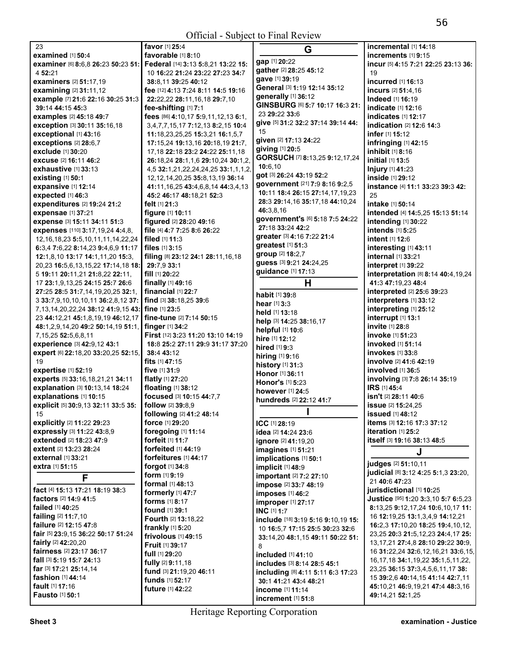| 23                                          | <b>favor</b> [1] <b>25:</b> 4             |
|---------------------------------------------|-------------------------------------------|
| <b>examined</b> [1] 50:4                    | favorable [1] 8:10                        |
| examiner [6] 8:6,8 26:23 50:23 51:          | Federal [14] 3:13 5:8,21 13:22 15:        |
| 4 52:21                                     | 10 16:22 21:24 23:22 27:23 34:7           |
| <b>examiners</b> [2] 51:17,19               | 38:8,11 39:25 40:12                       |
| examining [2] 31:11,12                      | fee [12] 4:13 7:24 8:11 14:5 19:16        |
|                                             |                                           |
| example [7] 21:6 22:16 30:25 31:3           | 22:22,22 28:11,16,18 29:7,10              |
| 39:14 44:15 45:3                            | fee-shifting [1] 7:1                      |
| examples [2] 45:18 49:7                     | fees [86] 4:10,17 5:9,11,12,13 6:1,       |
| exception [3] 30:11 35:16,18                | 3,4,7,7,15,17 7:12,13 8:2,15 10:4         |
| exceptional [1] 43:16                       | 11:18,23,25,25 15:3,21 16:1,5,7           |
| exceptions [2] 28:6,7                       | 17:15,24 19:13,16 20:18,19 21:7,          |
| exclude [1] 30:20                           | 17, 18 22: 18 23: 2 24: 22 25: 11, 18     |
| excuse [2] 16:11 46:2                       | 26:18,24 28:1,1,6 29:10,24 30:1,2         |
| <b>exhaustive</b> [1] 33:13                 | 4,5 32:1,21,22,24,24,25 33:1,1,1,2        |
|                                             |                                           |
| existing [1] 50:1                           | 12, 12, 14, 20, 25 35: 8, 13, 19 36: 14   |
| expansive [1] 12:14                         | 41:11, 16, 25 43:4, 6, 8, 14 44: 3, 4, 13 |
| expected [1] 46:3                           | 45:2 46:17 48:18,21 52:3                  |
| expenditures [2] 19:24 21:2                 | felt [1] 21:3                             |
| expensae [1] 37:21                          | figure [1] 10:11                          |
| expense [3] 15:11 34:11 51:3                | figured [2] 28:20 49:16                   |
| expenses [110] 3:17,19,24 4:4,8,            | file [4] 4:7 7:25 8:6 26:22               |
| 12, 16, 18, 23 5: 5, 10, 11, 11, 14, 22, 24 | filed [1] 11:3                            |
| 6:3,4 7:6,22 8:14,23 9:4,6,9 11:17          | files [1] 3:15                            |
| 12:1,8,10 13:17 14:1,11,20 15:3,            | filing [8] 23:12 24:1 28:11,16,18         |
| 20,23 16:5,6,13,15,22 17:14,18 18:          | 29:7,9 33:1                               |
|                                             | fill $[1]$ 20:22                          |
| 5 19:11 20:11,21 21:8,22 22:11,             |                                           |
| 17 23:1,9,13,25 24:15 25:7 26:6             | finally [1] 49:16                         |
| 27:25 28:5 31:7,14,19,20,25 32:1,           | financial [1] 22:7                        |
| 3 33:7,9,10,10,10,11 36:2,8,12 37:          | find [3] 38:18,25 39:6                    |
| 7, 13, 14, 20, 22, 24 38: 12 41: 9, 15 43:  | fine [1] 23:5                             |
| 23 44:12,21 45:1,8,19,19 46:12,17           | fine-tune [2] 7:14 50:15                  |
| 48:1,2,9,14,20 49:2 50:14,19 51:1,          | finger [1] 34:2                           |
| 7,15,25 52:5,6,8,11                         | First [12] 3:23 11:20 13:10 14:19         |
| experience [3] 42:9,12 43:1                 | 18:8 25:2 27:11 29:9 31:17 37:20          |
| expert [6] 22:18,20 33:20,25 52:15,         | 38:4 43:12                                |
| 19                                          | fits $[1]$ 47:15                          |
| expertise [1] 52:19                         | five [1] 31:9                             |
| experts [5] 33:16,18,21,21 34:11            | flatly [1] 27:20                          |
| explanation [3] 10:13,14 18:24              | floating [1] 38:12                        |
|                                             | focused [3] 10:15 44:7,7                  |
| explanations [1] 10:15                      |                                           |
| explicit [5] 30:9,13 32:11 33:5 35:         | follow [2] 39:8,9                         |
| 15                                          | following [2] 41:2 48:14                  |
| explicitly [2] 11:22 29:23                  | force [1] 29:20                           |
| expressly [3] 11:22 43:8,9                  | foregoing [1] 11:14                       |
| extended [2] 18:23 47:9                     | forfeit [1] 11:7                          |
| extent [2] 13:23 28:24                      | forfeited [1] 44:19                       |
| <b>external</b> [1] 33:21                   | <b>forfeitures</b> [1] 44:17              |
| extra [1] 51:15                             | forgot [1] 34:8                           |
| F                                           | form [1] 9:19                             |
|                                             | formal [1] 48:13                          |
| fact [4] 15:13 17:21 18:19 38:3             | formerly [1] 47:7                         |
| <b>factors</b> [2] <b>14:9 41:5</b>         | <b>forms</b> [1] 8:17                     |
| failed [1] 40:25                            | found [1] 39:1                            |
| failing [2] 11:7,10                         | Fourth [2] 13:18,22                       |
| failure [2] 12:15 47:8                      |                                           |
| fair [5] 23:9,15 36:22 50:17 51:24          | frankly [1] 5:20                          |
| fairly [2] 42:20,20                         | frivolous [1] 49:15                       |
| fairness [2] 23:17 36:17                    | Fruit [1] 39:17                           |
| fall [3] 5:19 15:7 24:13                    | full [1] 29:20                            |
|                                             | fully [2] 9:11,18                         |
| far [3] 17:21 25:14,14                      | fund [3] 21:19,20 46:11                   |
| fashion [1] 44:14                           | funds [1] 52:17                           |
| fault [1] 17:16                             | future [1] 42:22                          |

|    | G                                  | incremental [1] 14:18                                         |
|----|------------------------------------|---------------------------------------------------------------|
|    | gap [1] 20:22                      | increments [1] 9:15                                           |
|    | gather [2] 28:25 45:12             | incur [5] 4:15 7:21 22:25 23:13 36:                           |
|    | gave [1] 39:19                     | 19                                                            |
|    | General [3] 1:19 12:14 35:12       | <b>incurred</b> [1] <b>16:13</b>                              |
|    | generally [1] 36:12                | incurs [2] 51:4.16                                            |
|    | GINSBURG [6] 5:7 10:17 16:3 21:    | Indeed [1] 16:19                                              |
|    | 23 29:22 33:6                      | indicate [1] 12:16                                            |
|    | give [5] 31:2 32:2 37:14 39:14 44: | <b>indicates</b> [1] <b>12:17</b><br>indication [2] 12:6 14:3 |
|    | 15                                 | infer [1] 15:12                                               |
|    | given [2] 17:13 24:22              |                                                               |
|    | giving [1] 20:5                    | infringing [1] 42:15<br>inhibit [1] 8:16                      |
| 2, | GORSUCH [7] 8:13,25 9:12,17,24     | initial [1] 13:5                                              |
| 2, | 10:6,10                            | Injury [1] 41:23                                              |
|    | got [3] 26:24 43:19 52:2           | inside [1] 29:12                                              |
| 3  | government [21] 7:9 8:16 9:2,5     | instance [4] 11:1 33:23 39:3 42:                              |
|    | 10:11 18:4 26:15 27:14,17,19,23    | 25                                                            |
|    | 28:3 29:14,16 35:17,18 44:10,24    | <b>intake</b> [1] 50:14                                       |
|    | 46:3.8.16                          | intended [4] 14:5,25 15:13 51:14                              |
|    | government's [6] 5:18 7:5 24:22    | intending [1] 30:22                                           |
|    | 27:18 33:24 42:2                   | intends [1] 5:25                                              |
|    | areater [3] 4:16 7:22 21:4         | intent [1] 12:6                                               |
|    | greatest [1] 51:3                  | interesting [1] 43:11                                         |
|    | group [2] 18:2,7                   | internal [1] 33:21                                            |
|    | guess [3] 9:21 24:24,25            | interpret [1] 39:22                                           |
|    | guidance [1] 17:13                 | interpretation [8] 8:14 40:4,19,24                            |
|    | н                                  | 41:3 47:19.23 48:4                                            |
|    |                                    | interpreted [2] 25:6 39:23                                    |
|    | <b>habit</b> [1] <b>39:</b> 8      | interpreters [1] 33:12                                        |
|    | hear [1] 3:3<br>held [1] 13:18     | interpreting [1] 25:12                                        |
|    | help [3] 14:25 38:16,17            | interrupt [1] 13:1                                            |
|    | helpful [1] 10:6                   | invite [1] 28:8                                               |
|    | hire [1] 12:12                     | <b>invoke</b> [1] 51:23                                       |
|    | <b>hired</b> $[1]$ 9:3             | invoked [1] 51:14                                             |
|    | hiring [1] 9:16                    | <b>invokes</b> [1] 33:8                                       |
|    | history [1] 31:3                   | involve [2] 41:6 42:19                                        |
|    | Honor [1] 36:11                    | involved [1] 36:5                                             |
|    | Honor's [1] 5:23                   | involving [3] 7:8 26:14 35:19                                 |
|    | however [1] 24:5                   | IRS [1] 45:4                                                  |
|    | hundreds [2] 22:12 41:7            | isn't [2] 28:11 40:6                                          |
|    |                                    | issue [2] 15:24,25                                            |
|    |                                    | issued [1] 48:12                                              |
|    | ICC [1] 28:19                      | items [3] 12:16 17:3 37:12                                    |
|    | idea [2] 14:24 23:6                | iteration [1] 25:2                                            |
|    | ignore [2] 41:19,20                | itself [3] 19:16 38:13 48:5                                   |
|    | imagines [1] 51:21                 | J                                                             |
|    | implications [1] 50:1              | judges [2] 51:10,11                                           |
|    | implicit [1] 48:9                  | judicial [8] 3:12 4:25 5:1,3 23:20,                           |
|    | important [2] 7:2 27:10            | 21 40:6 47:23                                                 |
|    | impose [2] 33:7 48:19              | jurisdictional [1] 10:25                                      |
|    | imposes [1] 46:2                   | Justice [95] 1:20 3:3,10 5:7 6:5,23                           |
|    | improper [1] 27:17                 | 8:13,25 9:12,17,24 10:6,10,17 11:                             |
|    | INC [1] 1:7                        | 16 12:19,25 13:1,3,4,9 14:12,21                               |
|    | include [18] 3:19 5:16 9:10,19 15: | 16:2,3 17:10,20 18:25 19:4,10,12,                             |
|    | 10 16:5,7 17:15 25:5 30:23 32:6    | 23,25 20:3 21:5,12,23 24:4,17 25:                             |
|    | 33:14,20 48:1,15 49:11 50:22 51:   | 13, 17, 21 27: 4, 8 28: 10 29: 22 30: 9,                      |
|    | 8<br>included [1] 41:10            | 16 31:22,24 32:6,12,16,21 33:6,15,                            |
|    | includes [3] 8:14 28:5 45:1        | 16, 17, 18 34: 1, 19, 22 35: 1, 5, 11, 22,                    |
|    | including [8] 4:11 5:11 6:3 17:23  | 23,25 36:15 37:3,4,5,6,11,17 38:                              |
|    | 30:1 41:21 43:4 48:21              | 15 39:2,6 40:14,15 41:14 42:7,11                              |
|    | income [1] 11:14                   | 45:10,21 46:9,19,21 47:4 48:3,16                              |
|    | <b>increment</b> [1] <b>51:</b> 8  | 49:14,21 52:1,25                                              |
|    |                                    |                                                               |

**Fausto** [1] **50:**1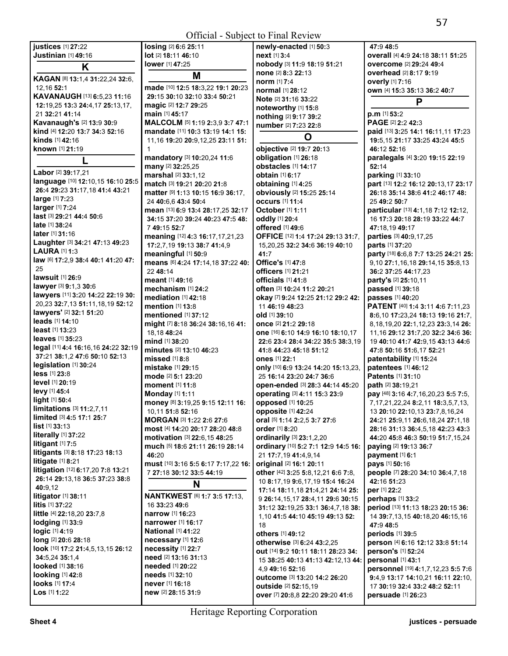| justices [1] 27:22                        | losing [2] 6:6 25:11                               | newly-enacted [1] 50:3              | 47:9 48:5                                   |
|-------------------------------------------|----------------------------------------------------|-------------------------------------|---------------------------------------------|
| Justinian [1] 49:16                       | lot [2] 18:11 46:10                                | next [1] 3:4                        | overall [4] 4:9 24:18 38:11 51:25           |
| K                                         | lower [1] 47:25                                    | nobody [3] 11:9 18:19 51:21         | overcome [2] 29:24 49:4                     |
|                                           | M                                                  | none [2] 8:3 22:13                  | <b>overhead</b> [2] 8:17 9:19               |
| KAGAN [8] 13:1,4 31:22,24 32:6,           |                                                    | <b>norm</b> [1] 7:4                 | <b>overly</b> [1] 7:16                      |
| 12.16 52:1                                | made [10] 12:5 18:3,22 19:1 20:23                  | <b>normal</b> [1] 28:12             | own [4] 15:3 35:13 36:2 40:7                |
| KAVANAUGH [13] 6:5,23 11:16               | 29:15 30:10 32:10 33:4 50:21                       | <b>Note</b> [2] <b>31:16 33:22</b>  | P                                           |
| 12:19,25 13:3 24:4,17 25:13,17,           | magic [2] 12:7 29:25                               | noteworthy [1] 15:8                 |                                             |
| 21 32:21 41:14                            | main [1] 45:17                                     | nothing [2] 9:17 39:2               | $p.m$ [1] 53:2                              |
| Kavanaugh's [2] 13:9 30:9                 | MALCOLM [5] 1:19 2:3,9 3:7 47:1                    | number [2] 7:23 22:8                | PAGE [2] 2:2 42:3                           |
| kind [4] 12:20 13:7 34:3 52:16            | mandate [11] 10:3 13:19 14:1 15:                   | O                                   | paid [13] 3:25 14:1 16:11,11 17:23          |
| <b>kinds</b> [1] 42:16                    | 11,16 19:20 20:9,12,25 23:11 51:                   |                                     | 19:5, 15 21:17 33:25 43:24 45:5             |
| known [1] 21:19                           |                                                    | objective [2] 19:7 20:13            | 46:12 52:16                                 |
|                                           | mandatory [3] 10:20,24 11:6                        | obligation [1] 26:18                | paralegals [4] 3:20 19:15 22:19             |
|                                           | many [2] 32:25,25                                  | obstacles [1] 14:17                 | 52:14                                       |
| Labor [2] 39:17,21                        | marshal [2] 33:1,12                                | <b>obtain</b> [1] 6:17              | parking [1] 33:10                           |
| language [10] 12:10,15 16:10 25:5         | match [3] 19:21 20:20 21:8                         | obtaining [1] 4:25                  | part [13] 12:2 16:12 20:13,17 23:17         |
| 26:4 29:23 31:17,18 41:4 43:21            | matter [9] 1:13 10:15 16:9 36:17,                  | obviously [2] 15:25 25:14           | 26:18 35:14 38:6 41:2 46:17 48:             |
| large [1] 7:23                            | 24 40:6.6 43:4 50:4                                | <b>occurs</b> [1] 11:4              | 25 49:2 50:7                                |
| larger [1] 7:24                           | mean [13] 6:9 13:4 28:17,25 32:17                  | <b>October</b> [1] 1:11             | particular [13] 4:1,18 7:12 12:12,          |
| <b>last</b> [3] <b>29:21 44:4 50:6</b>    | 34:15 37:20 39:24 40:23 47:5 48:                   | oddly [1] 20:4                      | 16 17:3 20:18 28:19 33:22 44:7              |
| <b>late</b> $[1]$ 38:24                   | 749:1552:7                                         | offered [1] 49:6                    | 47:18.19 49:17                              |
| <b>later</b> $[1]$ 31:16                  | meaning [12] 4:3 16:17,17,21,23                    | OFFICE [12] 1:4 17:24 29:13 31:7,   | parties [3] 40:9,17,25                      |
| Laughter [3] 34:21 47:13 49:23            | 17:2,7,19 19:13 38:7 41:4,9                        | 15,20,25 32:2 34:6 36:19 40:10      | parts [1] 37:20                             |
| <b>LAURA [1] 1:3</b>                      | meaningful [1] 50:9                                | 41:7                                | party [18] 6:6,8 7:7 13:25 24:21 25:        |
| law [6] 17:2,9 38:4 40:1 41:20 47:        | means [6] 4:24 17:14,18 37:22 40:                  | Office's [1] 47:8                   | 9,10 27:1,16,18 29:14,15 35:8,13            |
| 25                                        | 22 48:14                                           | officers [1] 21:21                  |                                             |
| lawsuit [1] 26:9                          |                                                    |                                     | 36:2 37:25 44:17,23                         |
| lawyer [3] 9:1,3 30:6                     | meant [1] 49:16                                    | officials [1] 41:8                  | party's [2] 25:10,11                        |
| lawyers [11] 3:20 14:22 22:19 30:         | mechanism [1] 24:2                                 | often [3] 10:24 11:2 20:21          | passed [1] 39:18                            |
| 20,23 32:7,13 51:11,18,19 52:12           | <b>mediation</b> [1] 42:18                         | okay [7] 9:24 12:25 21:12 29:2 42:  | passes [1] 40:20                            |
| lawyers' [2] 32:1 51:20                   | mention [1] 13:8                                   | 11 46:19 48:23                      | PATENT [40] 1:4 3:11 4:6 7:11,23            |
| $leads$ [1] 14:10                         | mentioned [1] 37:12                                | old [1] 39:10                       | 8:6,10 17:23,24 18:13 19:16 21:7,           |
| <b>least</b> $[1]$ <b>13</b> :23          | might [7] 8:18 36:24 38:16,16 41:                  | once [2] 21:2 29:18                 | 8, 18, 19, 20 22: 1, 12, 23 23: 3, 14 26:   |
|                                           | 18,18 48:24                                        | one [16] 6:10 14:9 16:10 18:10,17   | 11, 16 29: 12 31: 7, 20 32: 2 34: 6 36:     |
| <b>leaves</b> [1] 35:23                   | mind [1] 38:20                                     | 22:6 23:4 28:4 34:22 35:5 38:3,19   | 19 40:10 41:7 42:9,15 43:13 44:6            |
| legal [11] 4:4 16:16,16 24:22 32:19       | minutes [2] 13:10 46:23                            | 41:8 44:23 45:18 51:12              | 47:8 50:16 51:6,17 52:21                    |
| 37:21 38:1,2 47:6 50:10 52:13             | missed $[1]$ 8:8                                   | ones [1] 22:1                       | patentability [1] 15:24                     |
| legislation [1] 30:24                     | mistake [1] 29:15                                  | only [10] 6:9 13:24 14:20 15:13,23, | patentees [1] 46:12                         |
| $less$ [1] $23:8$                         | mode [2] 5:1 23:20                                 | 25 16:14 23:20 24:7 36:6            | Patents [1] 31:10                           |
| <b>level</b> [1] <b>20:1</b> 9            | moment [1] 11:8                                    | open-ended [3] 28:3 44:14 45:20     | path [2] 38:19,21                           |
| levy [1] 45:4                             | <b>Monday</b> [1] 1:11                             | operating [3] 4:11 15:3 23:9        | pay [48] 3:16 4:7,16,20,23 5:5 7:5,         |
| light [1] 50:4                            | money [8] 3:19,25 9:15 12:11 16:                   | opposed [1] 10:25                   | 7, 17, 21, 22, 24 8: 2, 11 18: 3, 5, 7, 13, |
| <b>limitations</b> $[3]$ <b>11:2,7,11</b> | 10,11 51:8 52:16                                   | opposite [1] 42:24                  | 13 20:10 22:10,13 23:7,8,16,24              |
| limited [3] 4:5 17:1 25:7                 | MORGAN [3] 1:22 2:6 27:6                           | oral [5] 1:14 2:2,5 3:7 27:6        | 24:21 25:9,11 26:6,18,24 27:1,18            |
| $list$ [1] 33:13                          | most [4] 14:20 20:17 28:20 48:8                    | order [1] 8:20                      | 28:16 31:13 36:4,5,18 42:23 43:3            |
| literally [1] 37:22                       | <b>motivation</b> [3] <b>22:</b> 6,15 <b>48:25</b> | ordinarily [3] 23:1,2,20            | 44:20 45:8 46:3 50:19 51:7,15,24            |
| <b>litigant</b> $[1]$ 7:5                 | much [5] 18:6 21:11 26:19 28:14                    | ordinary [10] 5:2 7:1 12:9 14:5 16: | paying [2] 19:13 36:7                       |
| litigants [3] 8:18 17:23 18:13            | 46:20                                              | 21 17:7,19 41:4,9,14                | payment [1] 6:1                             |
| litigate $[1]$ 8:21                       | must [10] 3:16 5:5 6:17 7:17,22 16:                | original [2] 16:1 20:11             | <b>pays</b> [1] <b>50:1</b> 6               |
| litigation [12] 6:17,20 7:8 13:21         | 7 27:18 30:12 33:5 44:19                           | other [42] 3:25 5:8,12,21 6:6 7:8,  | people [7] 28:20 34:10 36:4,7,18            |
| 26:14 29:13,18 36:5 37:23 38:8            |                                                    | 10 8:17, 19 9:6, 17, 19 15:4 16:24  | 42:16 51:23                                 |
| 40:9,12                                   | N                                                  | 17:14 18:11,18 21:4,21 24:14 25:    | per [1] 22:2                                |
| <b>litigator</b> [1] 38:11                | <b>NANTKWEST [6] 1:7 3:5 17:13,</b>                | 9 26:14, 15, 17 28:4, 11 29:6 30:15 | perhaps [1] 33:2                            |
| litis [1] 37:22                           | 16 33:23 49:6                                      | 31:12 32:19,25 33:1 36:4,7,18 38:   | period [13] 11:13 18:23 20:15 36:           |
| <b>little</b> [4] 22:18,20 23:7,8         | <b>narrow</b> [1] <b>16:23</b>                     |                                     |                                             |
| lodging $[1]$ 33:9                        | <b>narrower</b> [1] <b>16:17</b>                   | 1,10 41:5 44:10 45:19 49:13 52:     | 14 39:7,13,15 40:18,20 46:15,16             |
| logic [1] 4:19                            | <b>National [1] 41:22</b>                          | 18                                  | 47:9 48:5                                   |
| long [2] 20:6 28:18                       | necessary [1] 12:6                                 | others [1] 49:12                    | periods [1] 39:5                            |
| look [10] 17:2 21:4,5,13,15 26:12         | necessity [1] 22:7                                 | otherwise [3] 6:24 43:2,25          | person [4] 6:16 12:12 33:8 51:14            |
|                                           | need [2] 13:16 31:13                               | out [14] 9:2 10:11 18:11 28:23 34:  | person's [1] 52:24                          |
| 34:5,24 35:1,4                            | needed [1] 20:22                                   | 15 38:25 40:13 41:13 42:12,13 44:   | personal [1] 43:1                           |
| <b>looked</b> [1] 38:16                   |                                                    | 4,9 49:16 52:16                     | personnel [19] 4:1,7,12,23 5:5 7:6          |
| <b>looking</b> [1] 42:8                   | <b>needs</b> [1] 32:10                             | <b>outcome</b> [3] 13:20 14:2 26:20 | 9:4,9 13:17 14:10,21 16:11 22:10,           |
| looks [1] 17:4                            | never [1] 16:18                                    | outside [2] 52:15,19                | 17 30:19 32:4 33:2 48:2 52:11               |
| $Los$ [1] 1:22                            | new [2] 28:15 31:9                                 | over [7] 20:8,8 22:20 29:20 41:6    | persuade [1] 26:23                          |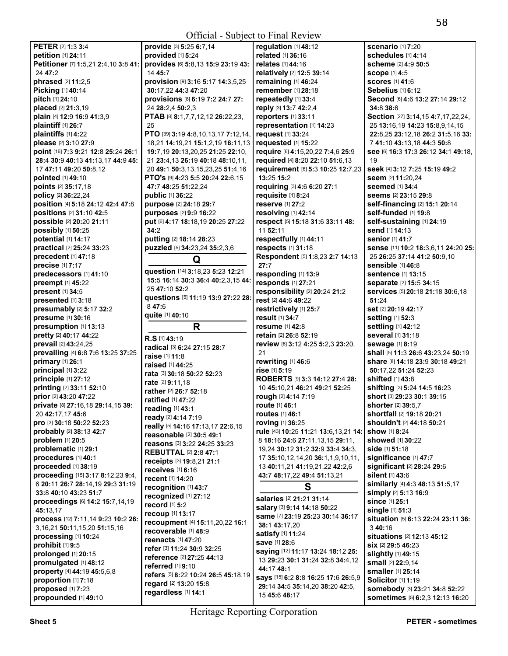|                                                        | $\sigma$ of $\sigma$ of $\sigma$ of $\sigma$ is that is $\sigma$ is $\sigma$ |                                          |                                                                  |
|--------------------------------------------------------|------------------------------------------------------------------------------|------------------------------------------|------------------------------------------------------------------|
| PETER [2] 1:3 3:4                                      | provide [3] 5:25 6:7,14                                                      | regulation [1] 48:12                     | <b>scenario</b> [1] 7:20                                         |
| petition [1] 24:11                                     | provided [1] 5:24                                                            | related [1] 36:16                        | schedules [1] 4:14                                               |
| Petitioner [7] 1:5,21 2:4,10 3:8 41:                   | provides [6] 5:8,13 15:9 23:19 43:                                           | <b>relates</b> [1] 44:16                 | scheme [2] 4:9 50:5                                              |
| 24 47:2                                                | 14 45:7                                                                      | relatively [2] 12:5 39:14                | <b>scope [1] 4:5</b>                                             |
| phrased [2] 11:2,5                                     | provision [9] 3:16 5:17 14:3,5,25                                            | remaining [1] 46:24                      | <b>scores</b> [1] 41:6                                           |
| Picking [1] 40:14                                      | 30:17,22 44:3 47:20                                                          | remember [1] 28:18                       | Sebelius [1] 6:12                                                |
| pitch [1] 24:10                                        | provisions [8] 6:19 7:2 24:7 27:                                             | repeatedly [1] 33:4                      | Second [6] 4:6 13:2 27:14 29:12                                  |
| placed [2] 21:3,19                                     | 24 28:2,4 50:2,3                                                             | reply [3] 13:7 42:2,4                    | 34:8 38:6                                                        |
| plain [4] 12:9 16:9 41:3,9                             | PTAB [8] 8:1,7,7,12,12 26:22,23,                                             | reporters [1] 33:11                      | Section [27] 3:14,15 4:7,17,22,24,                               |
| plaintiff [1] 26:7                                     | 25                                                                           | representation [1] 14:23                 | 25 13:16,19 14:23 15:8,9,14,15                                   |
| plaintiffs [1] 4:22                                    | PTO [39] 3:19 4:8,10,13,17 7:12,14,                                          | request [1] 33:24                        | 22:8,25 23:12,18 26:2 31:5,16 33:                                |
|                                                        |                                                                              |                                          |                                                                  |
| please [2] 3:10 27:9                                   | 18,21 14:19,21 15:1,2,19 16:11,13                                            | requested [1] 15:22                      | 7 41:10 43:13.18 44:3 50:8                                       |
| point [16] 7:3 9:21 12:8 25:24 26:1                    | 19:7,19 20:13,20,25 21:25 22:10,                                             | require [6] 4:15,20,22 7:4,6 25:9        | See [6] 16:3 17:3 26:12 34:1 49:18,                              |
| 28:4 30:9 40:13 41:13,17 44:9 45:                      | 21 23:4,13 26:19 40:18 48:10,11,                                             | required [4] 8:20 22:10 51:6,13          | 19                                                               |
| 17 47:11 49:20 50:8.12                                 | 20 49:1 50:3,13,15,23,25 51:4,16                                             | requirement [6] 5:3 10:25 12:7,23        | seek [4] 3:12 7:25 15:19 49:2                                    |
| pointed [1] 49:10                                      | <b>PTO's [9] 4:23 5:5 20:24 22:6,15</b>                                      | 13:25 15:2                               | seem [2] 11:20,24                                                |
| points [2] 35:17,18                                    | 47:7 48:25 51:22,24                                                          | requiring [3] 4:6 6:20 27:1              | seemed [1] 34:4                                                  |
| policy [2] 36:22,24                                    | public [1] 36:22                                                             | requisite [1] 8:24                       | Seems [2] 23:15 29:8                                             |
| position [4] 5:18 24:12 42:4 47:8                      | purpose [2] 24:18 29:7                                                       | reserve [1] 27:2                         | self-financing [2] 15:1 20:14                                    |
| positions [2] 31:10 42:5                               | purposes [2] 9:9 16:22                                                       | resolving [1] 42:14                      | self-funded [1] 19:8                                             |
| possible [2] 20:20 21:11                               | put [6] 4:17 18:18,19 20:25 27:22                                            | respect [5] 15:18 31:6 33:11 48:         | self-sustaining [1] 24:19                                        |
| possibly [1] 50:25                                     | 34:2                                                                         | 11 52:11                                 | send [1] 14:13                                                   |
| potential [1] 14:17                                    | putting [2] 18:14 28:23                                                      | respectfully [1] 44:11                   | <b>senior</b> [1] 41:7                                           |
| practical [2] 25:24 33:23                              | puzzled [5] 34:23,24 35:2,3,6                                                | respects [1] 31:18                       | sense [11] 10:2 18:3,6,11 24:20 25:                              |
|                                                        |                                                                              | Respondent [5] 1:8,23 2:7 14:13          | 25 26:25 37:14 41:2 50:9,10                                      |
| precedent [1] 47:18                                    | Q                                                                            |                                          | sensible [1] 46:8                                                |
| precise [1] 7:17                                       | question [14] 3:18,23 5:23 12:21                                             | 27:7                                     |                                                                  |
| predecessors [1] 41:10                                 | 15:5 16:14 30:3 36:4 40:2,3,15 44:                                           | responding [1] 13:9                      | sentence [1] 13:15                                               |
| preempt [1] 45:22                                      | 25 47:10 52:2                                                                | responds [1] 27:21                       | separate [2] 15:5 34:15                                          |
| present [1] 34:5                                       | questions [5] 11:19 13:9 27:22 28:                                           | responsibility [2] 20:24 21:2            | services [5] 20:18 21:18 30:6,18                                 |
| presented [1] 3:18                                     |                                                                              | rest [2] 44:6 49:22                      | 51:24                                                            |
| presumably [2] 5:17 32:2                               | 847:6                                                                        | restrictively [1] 25:7                   | set [2] 20:19 42:17                                              |
| presume [1] 30:16                                      | quite [1] 40:10                                                              | result [1] 34:7                          | setting [1] 52:3                                                 |
|                                                        |                                                                              |                                          |                                                                  |
| presumption [1] 13:13                                  | R                                                                            | resume [1] 42:8                          | settling [1] 42:12                                               |
| pretty [2] 40:17 44:22                                 |                                                                              | retain [2] 26:8 52:19                    | several [1] 31:18                                                |
| prevail [2] 43:24,25                                   | R.S [1] 43:19                                                                | review [6] 3:12 4:25 5:2,3 23:20,        | sewage [1] 8:19                                                  |
|                                                        | radical [3] 6:24 27:15 28:7                                                  | 21                                       | shall [5] 11:3 26:6 43:23,24 50:19                               |
| prevailing [4] 6:8 7:6 13:25 37:25<br>primary [1] 26:1 | raise [1] 11:8                                                               |                                          |                                                                  |
|                                                        | raised [1] 44:25                                                             | rewriting [1] 46:6<br>rise [1] 5:19      | share [8] 14:18 23:9 30:18 49:21                                 |
| principal [1] 3:22                                     | rata [3] 30:18 50:22 52:23                                                   | ROBERTS [9] 3:3 14:12 27:4 28:           | 50:17,22 51:24 52:23<br>shifted [1] 43:8                         |
| principle [1] 27:12                                    | rate [2] 9:11,18                                                             |                                          |                                                                  |
| printing [2] 33:11 52:10                               | rather [2] 26:7 52:18                                                        | 10 45:10,21 46:21 49:21 52:25            | shifting [3] 5:24 14:5 16:23                                     |
| prior [2] 43:20 47:22                                  | <b>ratified</b> [1] 47:22                                                    | rough [2] 4:14 7:19                      | short [3] 29:23 30:1 39:15<br>shorter [2] 39:5.7                 |
| private [8] 27:16,18 29:14,15 39:                      | reading [1] 43:1                                                             | <b>route</b> [1] 46:1                    |                                                                  |
| 20 42:17,17 45:6                                       | ready [2] 4:14 7:19                                                          | <b>routes</b> [1] 46:1                   | shortfall [2] 19:18 20:21                                        |
| pro [3] 30:18 50:22 52:23                              | really [5] 14:16 17:13,17 22:6,15                                            | <b>roving</b> [1] 36:25                  | shouldn't [2] 44:18 50:21                                        |
| probably [2] 38:13 42:7                                | reasonable [2] 30:5 49:1                                                     | rule [43] 10:25 11:21 13:6,13,21 14:     | <b>show</b> [1] 8:24                                             |
| problem [1] 20:5                                       | reasons [3] 3:22 24:25 33:23                                                 | 8 18:16 24:6 27:11,13,15 29:11,          | showed [1] 30:22                                                 |
| problematic [1] 29:1                                   | <b>REBUTTAL [2] 2:8 47:1</b>                                                 | 19,24 30:12 31:2 32:9 33:4 34:3,         | side [1] 51:18                                                   |
| procedures [1] 40:1                                    | receipts [3] 19:8,21 21:1                                                    | 17 35:10, 12, 14, 20 36:1, 1, 9, 10, 11, | significance [1] 47:7                                            |
| proceeded [1] 38:19                                    | receives $[1]$ 6:16                                                          | 13 40:11,21 41:19,21,22 42:2,6           | significant [2] 28:24 29:6                                       |
| proceeding [15] 3:17 8:12,23 9:4,                      | recent [1] 14:20                                                             | 43:7 48:17,22 49:4 51:13,21              | silent [1] 43:6                                                  |
| 6 20:11 26:7 28:14,19 29:3 31:19                       | recognition [1] 43:7                                                         |                                          | similarly [4] 4:3 48:13 51:5,17                                  |
| 33:8 40:10 43:23 51:7                                  |                                                                              | S                                        | simply [2] 5:13 16:9                                             |
| proceedings [6] 14:2 15:7,14,19                        | recognized [1] 27:12                                                         | salaries [2] 21:21 31:14                 | since [1] 25:1                                                   |
| 45:13.17                                               | record [1] 5:2                                                               | salary [3] 9:14 14:18 50:22              | single [1] 51:3                                                  |
| process [12] 7:11,14 9:23 10:2 26:                     | recoup [1] 13:17                                                             | same [7] 23:19 25:23 30:14 36:17         | situation [5] 6:13 22:24 23:11 36:                               |
| 3, 16, 21 50: 11, 15, 20 51: 15, 16                    | recoupment [4] 15:11,20,22 16:1                                              | 38:1 43:17,20                            | 3 40:16                                                          |
| processing [1] 10:24                                   | recoverable [1] 48:9                                                         | satisfy [1] 11:24                        | situations [2] 12:13 45:12                                       |
|                                                        | reenacts [1] 47:20                                                           | save [1] 28:6                            | Six [2] 29:5 46:23                                               |
| prohibit [1] 9:5                                       | refer [3] 11:24 30:9 32:25                                                   | saying [12] 11:17 13:24 18:12 25:        |                                                                  |
| prolonged [1] 20:15                                    | reference [2] 27:25 44:13                                                    | 13 29:23 30:1 31:24 32:8 34:4,12         | slightly [1] 49:15                                               |
| promulgated [1] 48:12                                  | referred [1] 9:10                                                            | 44:17 48:1                               | small [2] 22:9,14                                                |
| property [4] 44:19 45:5,6,8                            | refers [5] 8:22 10:24 26:5 45:18,19                                          | says [15] 6:2 8:8 16:25 17:6 26:5,9      | smaller [1] 25:14                                                |
| proportion [1] 7:18                                    | regard [2] 13:20 15:8                                                        | 29:14 34:5 35:14,20 38:20 42:5,          | Solicitor [1] 1:19                                               |
| proposed [1] 7:23<br>propounded [1] 49:10              | regardless [1] 14:1                                                          | 15 45:6 48:17                            | somebody [3] 23:21 34:8 52:22<br>sometimes [5] 6:2,3 12:13 16:20 |